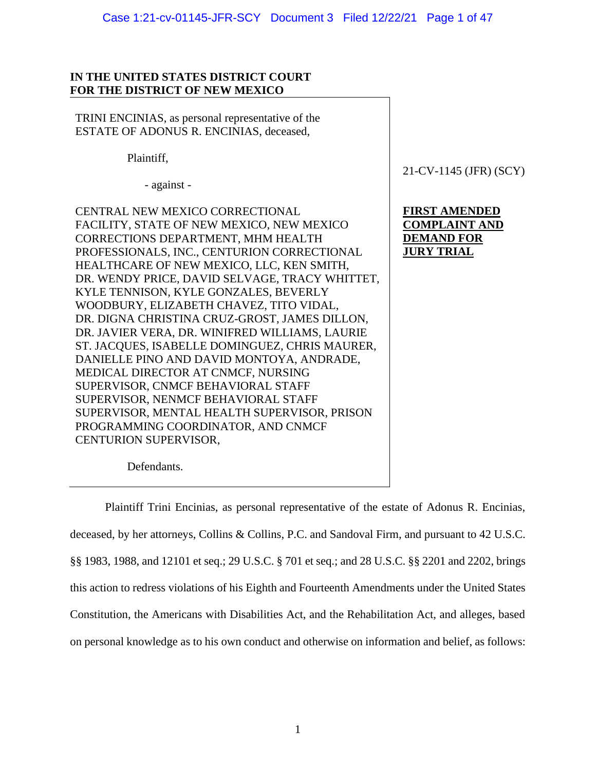### Case 1:21-cv-01145-JFR-SCY Document 3 Filed 12/22/21 Page 1 of 47

## **IN THE UNITED STATES DISTRICT COURT FOR THE DISTRICT OF NEW MEXICO**

TRINI ENCINIAS, as personal representative of the ESTATE OF ADONUS R. ENCINIAS, deceased,

Plaintiff,

- against -

CENTRAL NEW MEXICO CORRECTIONAL FACILITY, STATE OF NEW MEXICO, NEW MEXICO CORRECTIONS DEPARTMENT, MHM HEALTH PROFESSIONALS, INC., CENTURION CORRECTIONAL HEALTHCARE OF NEW MEXICO, LLC, KEN SMITH, DR. WENDY PRICE, DAVID SELVAGE, TRACY WHITTET, KYLE TENNISON, KYLE GONZALES, BEVERLY WOODBURY, ELIZABETH CHAVEZ, TITO VIDAL, DR. DIGNA CHRISTINA CRUZ-GROST, JAMES DILLON, DR. JAVIER VERA, DR. WINIFRED WILLIAMS, LAURIE ST. JACQUES, ISABELLE DOMINGUEZ, CHRIS MAURER, DANIELLE PINO AND DAVID MONTOYA, ANDRADE, MEDICAL DIRECTOR AT CNMCF, NURSING SUPERVISOR, CNMCF BEHAVIORAL STAFF SUPERVISOR, NENMCF BEHAVIORAL STAFF SUPERVISOR, MENTAL HEALTH SUPERVISOR, PRISON PROGRAMMING COORDINATOR, AND CNMCF CENTURION SUPERVISOR,

21-CV-1145 (JFR) (SCY)

# **FIRST AMENDED COMPLAINT AND DEMAND FOR JURY TRIAL**

Defendants.

Plaintiff Trini Encinias, as personal representative of the estate of Adonus R. Encinias, deceased, by her attorneys, Collins & Collins, P.C. and Sandoval Firm, and pursuant to 42 U.S.C. §§ 1983, 1988, and 12101 et seq.; 29 U.S.C. § 701 et seq.; and 28 U.S.C. §§ 2201 and 2202, brings this action to redress violations of his Eighth and Fourteenth Amendments under the United States Constitution, the Americans with Disabilities Act, and the Rehabilitation Act, and alleges, based on personal knowledge as to his own conduct and otherwise on information and belief, as follows: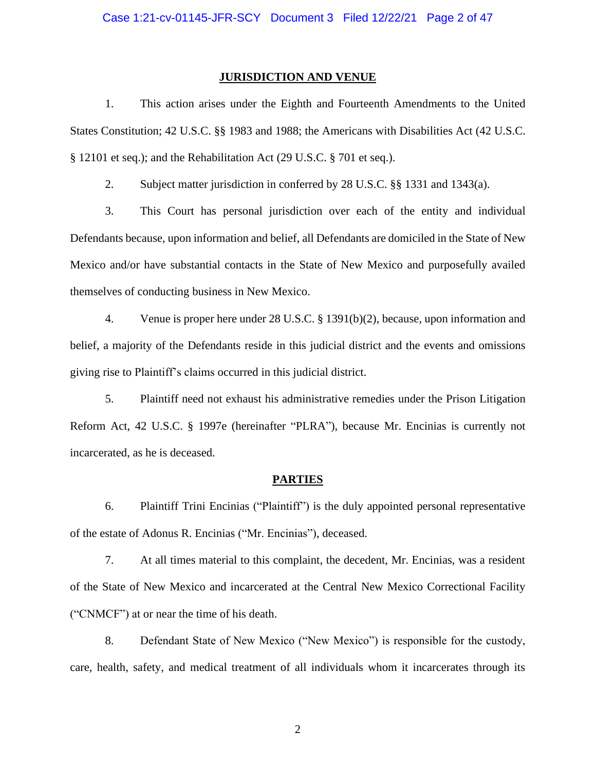#### **JURISDICTION AND VENUE**

1. This action arises under the Eighth and Fourteenth Amendments to the United States Constitution; 42 U.S.C. §§ 1983 and 1988; the Americans with Disabilities Act (42 U.S.C. § 12101 et seq.); and the Rehabilitation Act (29 U.S.C. § 701 et seq.).

2. Subject matter jurisdiction in conferred by 28 U.S.C. §§ 1331 and 1343(a).

3. This Court has personal jurisdiction over each of the entity and individual Defendants because, upon information and belief, all Defendants are domiciled in the State of New Mexico and/or have substantial contacts in the State of New Mexico and purposefully availed themselves of conducting business in New Mexico.

4. Venue is proper here under 28 U.S.C. § 1391(b)(2), because, upon information and belief, a majority of the Defendants reside in this judicial district and the events and omissions giving rise to Plaintiff's claims occurred in this judicial district.

5. Plaintiff need not exhaust his administrative remedies under the Prison Litigation Reform Act, 42 U.S.C. § 1997e (hereinafter "PLRA"), because Mr. Encinias is currently not incarcerated, as he is deceased.

#### **PARTIES**

6. Plaintiff Trini Encinias ("Plaintiff") is the duly appointed personal representative of the estate of Adonus R. Encinias ("Mr. Encinias"), deceased.

7. At all times material to this complaint, the decedent, Mr. Encinias, was a resident of the State of New Mexico and incarcerated at the Central New Mexico Correctional Facility ("CNMCF") at or near the time of his death.

8. Defendant State of New Mexico ("New Mexico") is responsible for the custody, care, health, safety, and medical treatment of all individuals whom it incarcerates through its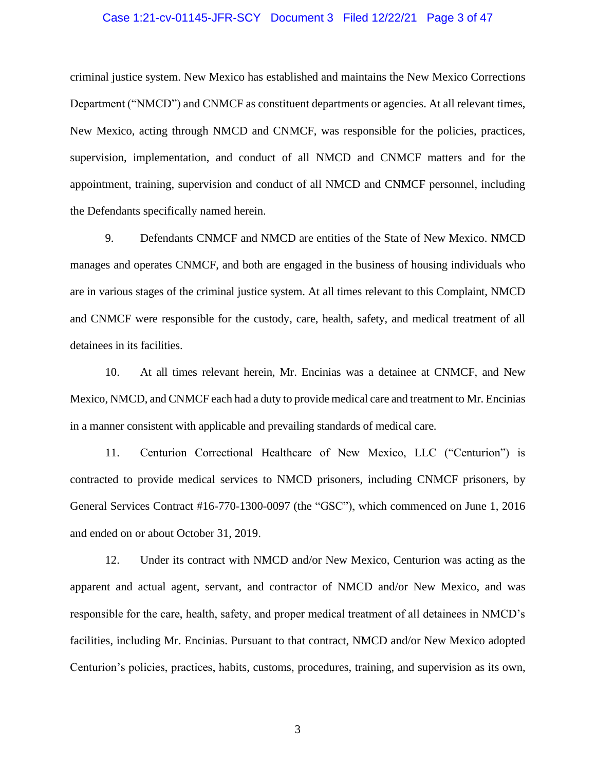#### Case 1:21-cv-01145-JFR-SCY Document 3 Filed 12/22/21 Page 3 of 47

criminal justice system. New Mexico has established and maintains the New Mexico Corrections Department ("NMCD") and CNMCF as constituent departments or agencies. At all relevant times, New Mexico, acting through NMCD and CNMCF, was responsible for the policies, practices, supervision, implementation, and conduct of all NMCD and CNMCF matters and for the appointment, training, supervision and conduct of all NMCD and CNMCF personnel, including the Defendants specifically named herein.

9. Defendants CNMCF and NMCD are entities of the State of New Mexico. NMCD manages and operates CNMCF, and both are engaged in the business of housing individuals who are in various stages of the criminal justice system. At all times relevant to this Complaint, NMCD and CNMCF were responsible for the custody, care, health, safety, and medical treatment of all detainees in its facilities.

10. At all times relevant herein, Mr. Encinias was a detainee at CNMCF, and New Mexico, NMCD, and CNMCF each had a duty to provide medical care and treatment to Mr. Encinias in a manner consistent with applicable and prevailing standards of medical care.

11. Centurion Correctional Healthcare of New Mexico, LLC ("Centurion") is contracted to provide medical services to NMCD prisoners, including CNMCF prisoners, by General Services Contract #16-770-1300-0097 (the "GSC"), which commenced on June 1, 2016 and ended on or about October 31, 2019.

12. Under its contract with NMCD and/or New Mexico, Centurion was acting as the apparent and actual agent, servant, and contractor of NMCD and/or New Mexico, and was responsible for the care, health, safety, and proper medical treatment of all detainees in NMCD's facilities, including Mr. Encinias. Pursuant to that contract, NMCD and/or New Mexico adopted Centurion's policies, practices, habits, customs, procedures, training, and supervision as its own,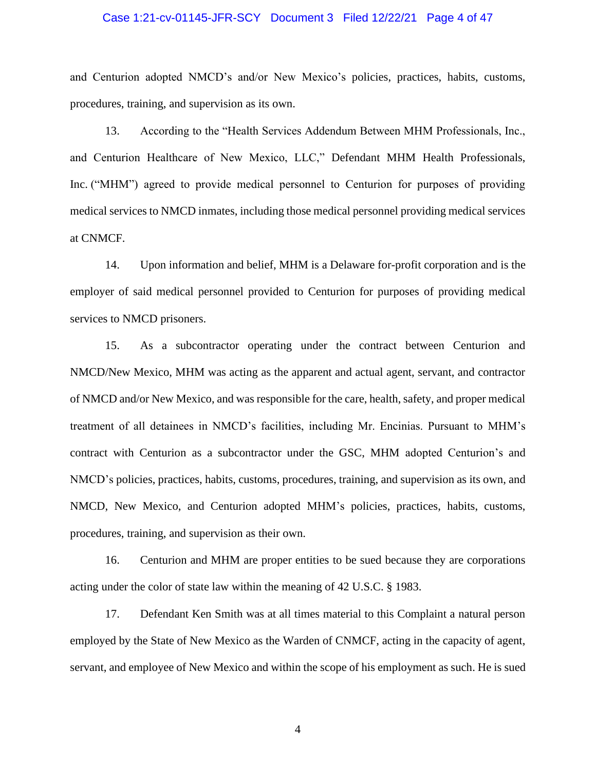#### Case 1:21-cv-01145-JFR-SCY Document 3 Filed 12/22/21 Page 4 of 47

and Centurion adopted NMCD's and/or New Mexico's policies, practices, habits, customs, procedures, training, and supervision as its own.

13. According to the "Health Services Addendum Between MHM Professionals, Inc., and Centurion Healthcare of New Mexico, LLC," Defendant MHM Health Professionals, Inc. ("MHM") agreed to provide medical personnel to Centurion for purposes of providing medical services to NMCD inmates, including those medical personnel providing medical services at CNMCF.

14. Upon information and belief, MHM is a Delaware for-profit corporation and is the employer of said medical personnel provided to Centurion for purposes of providing medical services to NMCD prisoners.

15. As a subcontractor operating under the contract between Centurion and NMCD/New Mexico, MHM was acting as the apparent and actual agent, servant, and contractor of NMCD and/or New Mexico, and was responsible for the care, health, safety, and proper medical treatment of all detainees in NMCD's facilities, including Mr. Encinias. Pursuant to MHM's contract with Centurion as a subcontractor under the GSC, MHM adopted Centurion's and NMCD's policies, practices, habits, customs, procedures, training, and supervision as its own, and NMCD, New Mexico, and Centurion adopted MHM's policies, practices, habits, customs, procedures, training, and supervision as their own.

16. Centurion and MHM are proper entities to be sued because they are corporations acting under the color of state law within the meaning of 42 U.S.C. § 1983.

17. Defendant Ken Smith was at all times material to this Complaint a natural person employed by the State of New Mexico as the Warden of CNMCF, acting in the capacity of agent, servant, and employee of New Mexico and within the scope of his employment as such. He is sued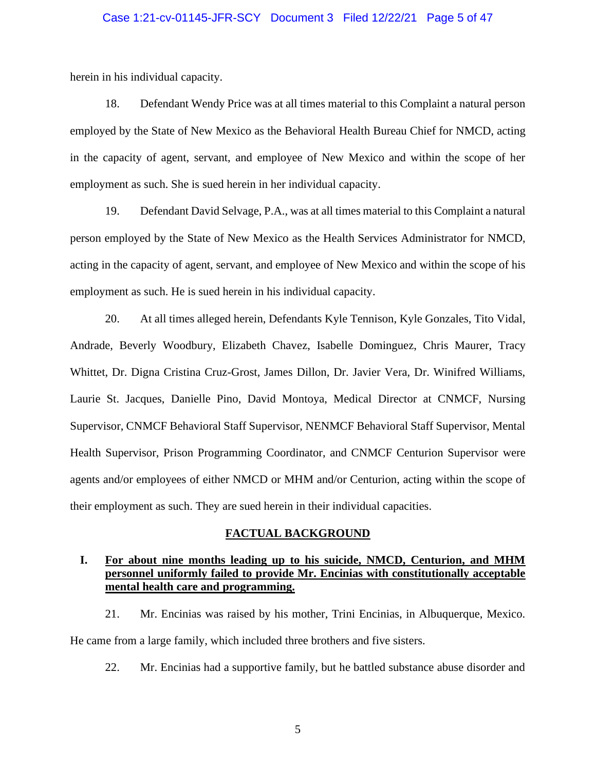### Case 1:21-cv-01145-JFR-SCY Document 3 Filed 12/22/21 Page 5 of 47

herein in his individual capacity.

18. Defendant Wendy Price was at all times material to this Complaint a natural person employed by the State of New Mexico as the Behavioral Health Bureau Chief for NMCD, acting in the capacity of agent, servant, and employee of New Mexico and within the scope of her employment as such. She is sued herein in her individual capacity.

19. Defendant David Selvage, P.A., was at all times material to this Complaint a natural person employed by the State of New Mexico as the Health Services Administrator for NMCD, acting in the capacity of agent, servant, and employee of New Mexico and within the scope of his employment as such. He is sued herein in his individual capacity.

20. At all times alleged herein, Defendants Kyle Tennison, Kyle Gonzales, Tito Vidal, Andrade, Beverly Woodbury, Elizabeth Chavez, Isabelle Dominguez, Chris Maurer, Tracy Whittet, Dr. Digna Cristina Cruz-Grost, James Dillon, Dr. Javier Vera, Dr. Winifred Williams, Laurie St. Jacques, Danielle Pino, David Montoya, Medical Director at CNMCF, Nursing Supervisor, CNMCF Behavioral Staff Supervisor, NENMCF Behavioral Staff Supervisor, Mental Health Supervisor, Prison Programming Coordinator, and CNMCF Centurion Supervisor were agents and/or employees of either NMCD or MHM and/or Centurion, acting within the scope of their employment as such. They are sued herein in their individual capacities.

### **FACTUAL BACKGROUND**

## **I. For about nine months leading up to his suicide, NMCD, Centurion, and MHM personnel uniformly failed to provide Mr. Encinias with constitutionally acceptable mental health care and programming.**

21. Mr. Encinias was raised by his mother, Trini Encinias, in Albuquerque, Mexico. He came from a large family, which included three brothers and five sisters.

22. Mr. Encinias had a supportive family, but he battled substance abuse disorder and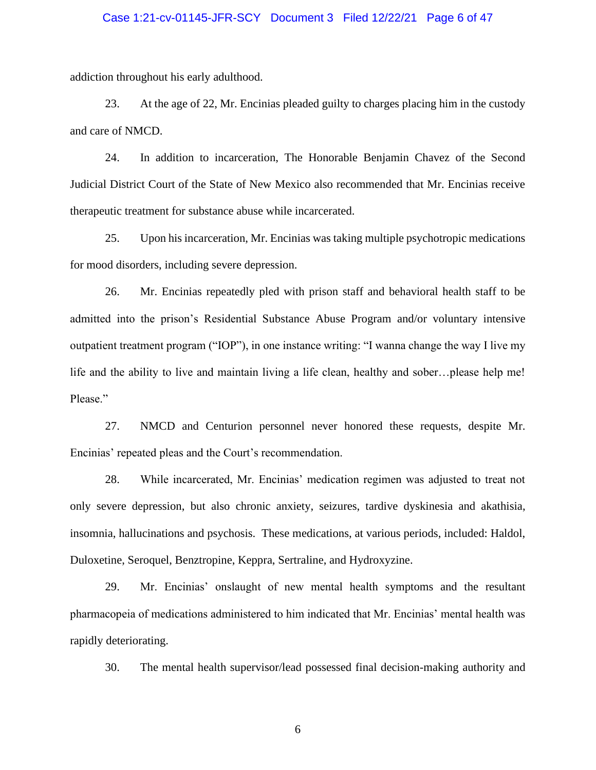### Case 1:21-cv-01145-JFR-SCY Document 3 Filed 12/22/21 Page 6 of 47

addiction throughout his early adulthood.

23. At the age of 22, Mr. Encinias pleaded guilty to charges placing him in the custody and care of NMCD.

24. In addition to incarceration, The Honorable Benjamin Chavez of the Second Judicial District Court of the State of New Mexico also recommended that Mr. Encinias receive therapeutic treatment for substance abuse while incarcerated.

25. Upon his incarceration, Mr. Encinias was taking multiple psychotropic medications for mood disorders, including severe depression.

26. Mr. Encinias repeatedly pled with prison staff and behavioral health staff to be admitted into the prison's Residential Substance Abuse Program and/or voluntary intensive outpatient treatment program ("IOP"), in one instance writing: "I wanna change the way I live my life and the ability to live and maintain living a life clean, healthy and sober…please help me! Please."

27. NMCD and Centurion personnel never honored these requests, despite Mr. Encinias' repeated pleas and the Court's recommendation.

28. While incarcerated, Mr. Encinias' medication regimen was adjusted to treat not only severe depression, but also chronic anxiety, seizures, tardive dyskinesia and akathisia, insomnia, hallucinations and psychosis. These medications, at various periods, included: Haldol, Duloxetine, Seroquel, Benztropine, Keppra, Sertraline, and Hydroxyzine.

29. Mr. Encinias' onslaught of new mental health symptoms and the resultant pharmacopeia of medications administered to him indicated that Mr. Encinias' mental health was rapidly deteriorating.

30. The mental health supervisor/lead possessed final decision-making authority and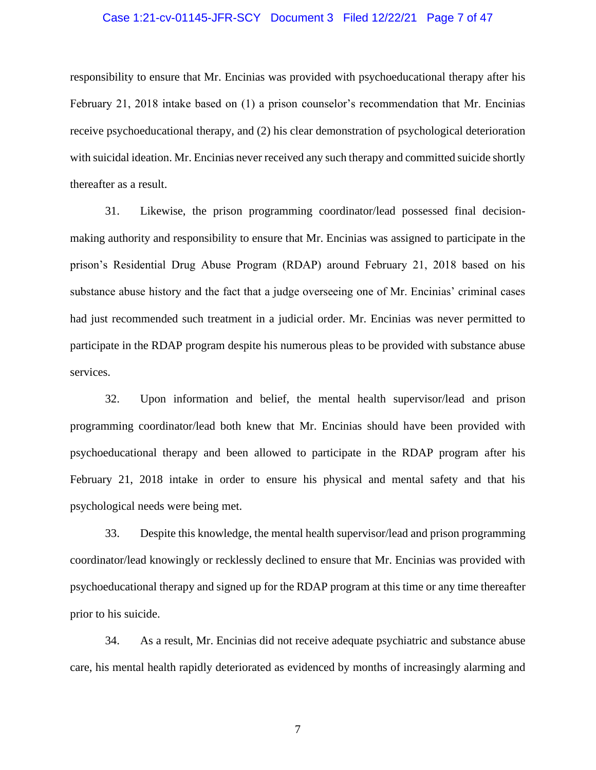#### Case 1:21-cv-01145-JFR-SCY Document 3 Filed 12/22/21 Page 7 of 47

responsibility to ensure that Mr. Encinias was provided with psychoeducational therapy after his February 21, 2018 intake based on (1) a prison counselor's recommendation that Mr. Encinias receive psychoeducational therapy, and (2) his clear demonstration of psychological deterioration with suicidal ideation. Mr. Encinias never received any such therapy and committed suicide shortly thereafter as a result.

31. Likewise, the prison programming coordinator/lead possessed final decisionmaking authority and responsibility to ensure that Mr. Encinias was assigned to participate in the prison's Residential Drug Abuse Program (RDAP) around February 21, 2018 based on his substance abuse history and the fact that a judge overseeing one of Mr. Encinias' criminal cases had just recommended such treatment in a judicial order. Mr. Encinias was never permitted to participate in the RDAP program despite his numerous pleas to be provided with substance abuse services.

32. Upon information and belief, the mental health supervisor/lead and prison programming coordinator/lead both knew that Mr. Encinias should have been provided with psychoeducational therapy and been allowed to participate in the RDAP program after his February 21, 2018 intake in order to ensure his physical and mental safety and that his psychological needs were being met.

33. Despite this knowledge, the mental health supervisor/lead and prison programming coordinator/lead knowingly or recklessly declined to ensure that Mr. Encinias was provided with psychoeducational therapy and signed up for the RDAP program at this time or any time thereafter prior to his suicide.

34. As a result, Mr. Encinias did not receive adequate psychiatric and substance abuse care, his mental health rapidly deteriorated as evidenced by months of increasingly alarming and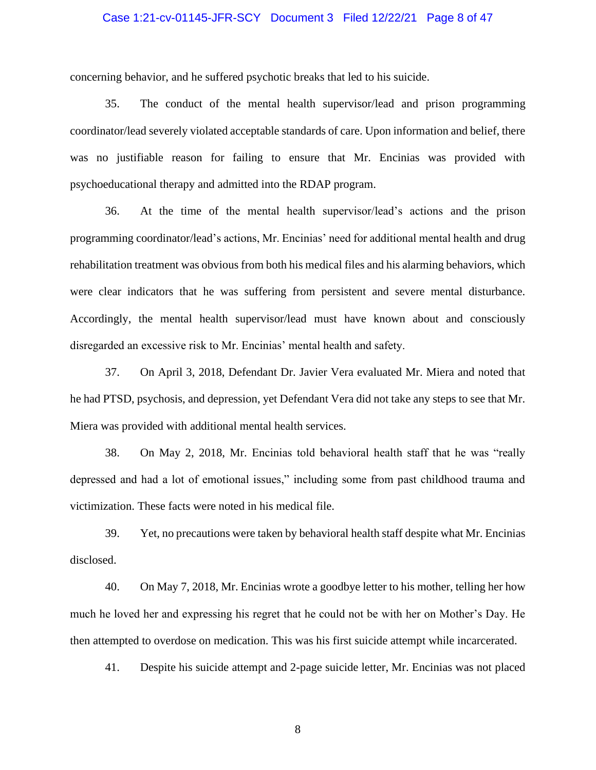### Case 1:21-cv-01145-JFR-SCY Document 3 Filed 12/22/21 Page 8 of 47

concerning behavior, and he suffered psychotic breaks that led to his suicide.

35. The conduct of the mental health supervisor/lead and prison programming coordinator/lead severely violated acceptable standards of care. Upon information and belief, there was no justifiable reason for failing to ensure that Mr. Encinias was provided with psychoeducational therapy and admitted into the RDAP program.

36. At the time of the mental health supervisor/lead's actions and the prison programming coordinator/lead's actions, Mr. Encinias' need for additional mental health and drug rehabilitation treatment was obvious from both his medical files and his alarming behaviors, which were clear indicators that he was suffering from persistent and severe mental disturbance. Accordingly, the mental health supervisor/lead must have known about and consciously disregarded an excessive risk to Mr. Encinias' mental health and safety.

37. On April 3, 2018, Defendant Dr. Javier Vera evaluated Mr. Miera and noted that he had PTSD, psychosis, and depression, yet Defendant Vera did not take any steps to see that Mr. Miera was provided with additional mental health services.

38. On May 2, 2018, Mr. Encinias told behavioral health staff that he was "really depressed and had a lot of emotional issues," including some from past childhood trauma and victimization. These facts were noted in his medical file.

39. Yet, no precautions were taken by behavioral health staff despite what Mr. Encinias disclosed.

40. On May 7, 2018, Mr. Encinias wrote a goodbye letter to his mother, telling her how much he loved her and expressing his regret that he could not be with her on Mother's Day. He then attempted to overdose on medication. This was his first suicide attempt while incarcerated.

41. Despite his suicide attempt and 2-page suicide letter, Mr. Encinias was not placed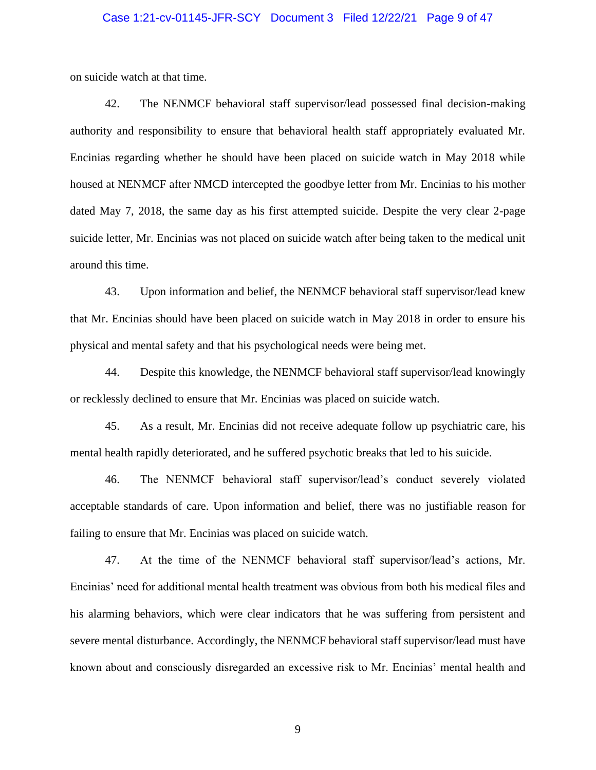#### Case 1:21-cv-01145-JFR-SCY Document 3 Filed 12/22/21 Page 9 of 47

on suicide watch at that time.

42. The NENMCF behavioral staff supervisor/lead possessed final decision-making authority and responsibility to ensure that behavioral health staff appropriately evaluated Mr. Encinias regarding whether he should have been placed on suicide watch in May 2018 while housed at NENMCF after NMCD intercepted the goodbye letter from Mr. Encinias to his mother dated May 7, 2018, the same day as his first attempted suicide. Despite the very clear 2-page suicide letter, Mr. Encinias was not placed on suicide watch after being taken to the medical unit around this time.

43. Upon information and belief, the NENMCF behavioral staff supervisor/lead knew that Mr. Encinias should have been placed on suicide watch in May 2018 in order to ensure his physical and mental safety and that his psychological needs were being met.

44. Despite this knowledge, the NENMCF behavioral staff supervisor/lead knowingly or recklessly declined to ensure that Mr. Encinias was placed on suicide watch.

45. As a result, Mr. Encinias did not receive adequate follow up psychiatric care, his mental health rapidly deteriorated, and he suffered psychotic breaks that led to his suicide.

46. The NENMCF behavioral staff supervisor/lead's conduct severely violated acceptable standards of care. Upon information and belief, there was no justifiable reason for failing to ensure that Mr. Encinias was placed on suicide watch.

47. At the time of the NENMCF behavioral staff supervisor/lead's actions, Mr. Encinias' need for additional mental health treatment was obvious from both his medical files and his alarming behaviors, which were clear indicators that he was suffering from persistent and severe mental disturbance. Accordingly, the NENMCF behavioral staff supervisor/lead must have known about and consciously disregarded an excessive risk to Mr. Encinias' mental health and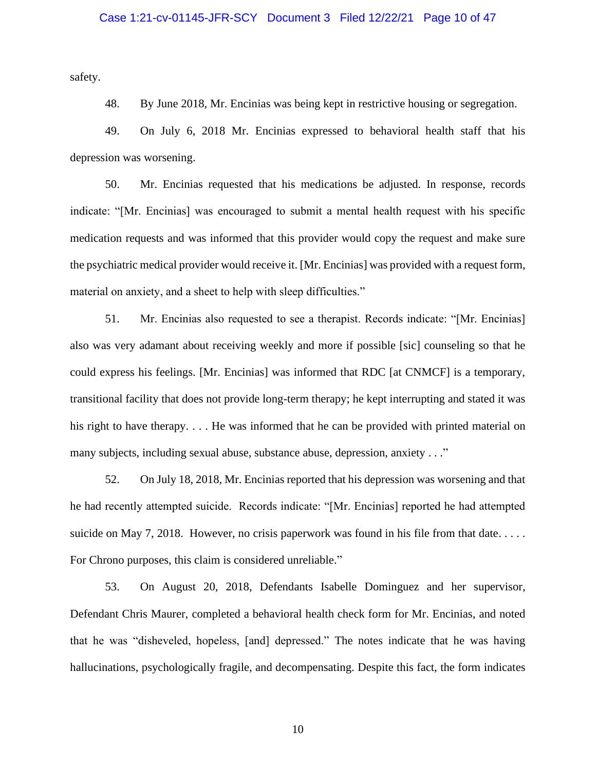safety.

48. By June 2018, Mr. Encinias was being kept in restrictive housing or segregation.

49. On July 6, 2018 Mr. Encinias expressed to behavioral health staff that his depression was worsening.

50. Mr. Encinias requested that his medications be adjusted. In response, records indicate: "[Mr. Encinias] was encouraged to submit a mental health request with his specific medication requests and was informed that this provider would copy the request and make sure the psychiatric medical provider would receive it. [Mr. Encinias] was provided with a request form, material on anxiety, and a sheet to help with sleep difficulties."

51. Mr. Encinias also requested to see a therapist. Records indicate: "[Mr. Encinias] also was very adamant about receiving weekly and more if possible [sic] counseling so that he could express his feelings. [Mr. Encinias] was informed that RDC [at CNMCF] is a temporary, transitional facility that does not provide long-term therapy; he kept interrupting and stated it was his right to have therapy.... He was informed that he can be provided with printed material on many subjects, including sexual abuse, substance abuse, depression, anxiety . . ."

52. On July 18, 2018, Mr. Encinias reported that his depression was worsening and that he had recently attempted suicide. Records indicate: "[Mr. Encinias] reported he had attempted suicide on May 7, 2018. However, no crisis paperwork was found in his file from that date.... For Chrono purposes, this claim is considered unreliable."

53. On August 20, 2018, Defendants Isabelle Dominguez and her supervisor, Defendant Chris Maurer, completed a behavioral health check form for Mr. Encinias, and noted that he was "disheveled, hopeless, [and] depressed." The notes indicate that he was having hallucinations, psychologically fragile, and decompensating. Despite this fact, the form indicates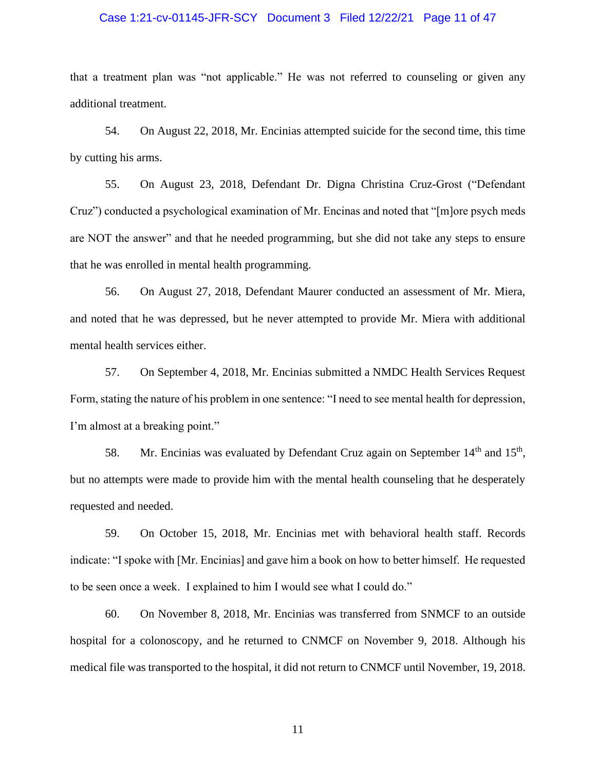### Case 1:21-cv-01145-JFR-SCY Document 3 Filed 12/22/21 Page 11 of 47

that a treatment plan was "not applicable." He was not referred to counseling or given any additional treatment.

54. On August 22, 2018, Mr. Encinias attempted suicide for the second time, this time by cutting his arms.

55. On August 23, 2018, Defendant Dr. Digna Christina Cruz-Grost ("Defendant Cruz") conducted a psychological examination of Mr. Encinas and noted that "[m]ore psych meds are NOT the answer" and that he needed programming, but she did not take any steps to ensure that he was enrolled in mental health programming.

56. On August 27, 2018, Defendant Maurer conducted an assessment of Mr. Miera, and noted that he was depressed, but he never attempted to provide Mr. Miera with additional mental health services either.

57. On September 4, 2018, Mr. Encinias submitted a NMDC Health Services Request Form, stating the nature of his problem in one sentence: "I need to see mental health for depression, I'm almost at a breaking point."

58. Mr. Encinias was evaluated by Defendant Cruz again on September  $14<sup>th</sup>$  and  $15<sup>th</sup>$ , but no attempts were made to provide him with the mental health counseling that he desperately requested and needed.

59. On October 15, 2018, Mr. Encinias met with behavioral health staff. Records indicate: "I spoke with [Mr. Encinias] and gave him a book on how to better himself. He requested to be seen once a week. I explained to him I would see what I could do."

60. On November 8, 2018, Mr. Encinias was transferred from SNMCF to an outside hospital for a colonoscopy, and he returned to CNMCF on November 9, 2018. Although his medical file was transported to the hospital, it did not return to CNMCF until November, 19, 2018.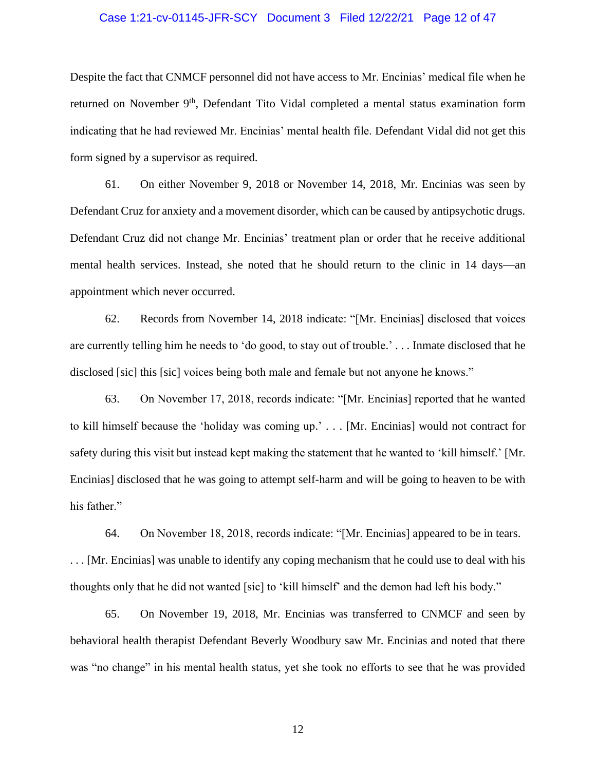### Case 1:21-cv-01145-JFR-SCY Document 3 Filed 12/22/21 Page 12 of 47

Despite the fact that CNMCF personnel did not have access to Mr. Encinias' medical file when he returned on November 9<sup>th</sup>, Defendant Tito Vidal completed a mental status examination form indicating that he had reviewed Mr. Encinias' mental health file. Defendant Vidal did not get this form signed by a supervisor as required.

61. On either November 9, 2018 or November 14, 2018, Mr. Encinias was seen by Defendant Cruz for anxiety and a movement disorder, which can be caused by antipsychotic drugs. Defendant Cruz did not change Mr. Encinias' treatment plan or order that he receive additional mental health services. Instead, she noted that he should return to the clinic in 14 days—an appointment which never occurred.

62. Records from November 14, 2018 indicate: "[Mr. Encinias] disclosed that voices are currently telling him he needs to 'do good, to stay out of trouble.' . . . Inmate disclosed that he disclosed [sic] this [sic] voices being both male and female but not anyone he knows."

63. On November 17, 2018, records indicate: "[Mr. Encinias] reported that he wanted to kill himself because the 'holiday was coming up.' . . . [Mr. Encinias] would not contract for safety during this visit but instead kept making the statement that he wanted to 'kill himself.' [Mr. Encinias] disclosed that he was going to attempt self-harm and will be going to heaven to be with his father."

64. On November 18, 2018, records indicate: "[Mr. Encinias] appeared to be in tears. . . . [Mr. Encinias] was unable to identify any coping mechanism that he could use to deal with his thoughts only that he did not wanted [sic] to 'kill himself' and the demon had left his body."

65. On November 19, 2018, Mr. Encinias was transferred to CNMCF and seen by behavioral health therapist Defendant Beverly Woodbury saw Mr. Encinias and noted that there was "no change" in his mental health status, yet she took no efforts to see that he was provided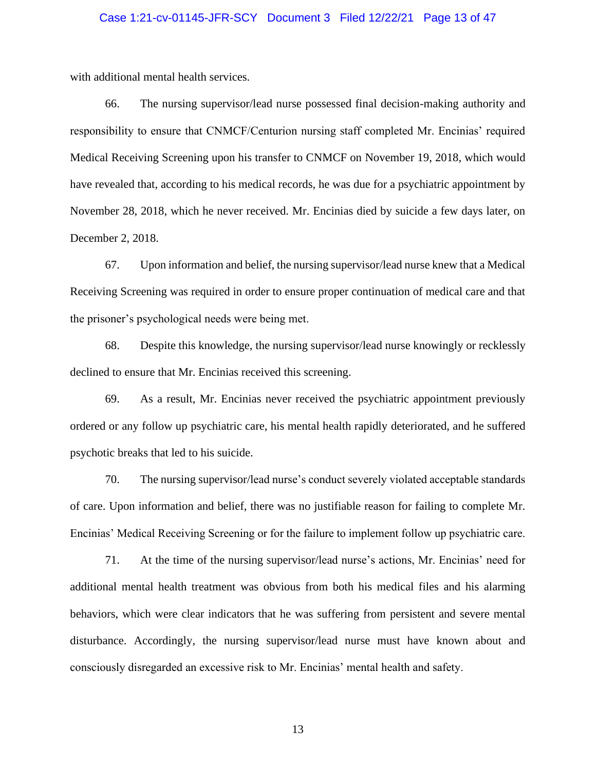### Case 1:21-cv-01145-JFR-SCY Document 3 Filed 12/22/21 Page 13 of 47

with additional mental health services.

66. The nursing supervisor/lead nurse possessed final decision-making authority and responsibility to ensure that CNMCF/Centurion nursing staff completed Mr. Encinias' required Medical Receiving Screening upon his transfer to CNMCF on November 19, 2018, which would have revealed that, according to his medical records, he was due for a psychiatric appointment by November 28, 2018, which he never received. Mr. Encinias died by suicide a few days later, on December 2, 2018.

67. Upon information and belief, the nursing supervisor/lead nurse knew that a Medical Receiving Screening was required in order to ensure proper continuation of medical care and that the prisoner's psychological needs were being met.

68. Despite this knowledge, the nursing supervisor/lead nurse knowingly or recklessly declined to ensure that Mr. Encinias received this screening.

69. As a result, Mr. Encinias never received the psychiatric appointment previously ordered or any follow up psychiatric care, his mental health rapidly deteriorated, and he suffered psychotic breaks that led to his suicide.

70. The nursing supervisor/lead nurse's conduct severely violated acceptable standards of care. Upon information and belief, there was no justifiable reason for failing to complete Mr. Encinias' Medical Receiving Screening or for the failure to implement follow up psychiatric care.

71. At the time of the nursing supervisor/lead nurse's actions, Mr. Encinias' need for additional mental health treatment was obvious from both his medical files and his alarming behaviors, which were clear indicators that he was suffering from persistent and severe mental disturbance. Accordingly, the nursing supervisor/lead nurse must have known about and consciously disregarded an excessive risk to Mr. Encinias' mental health and safety.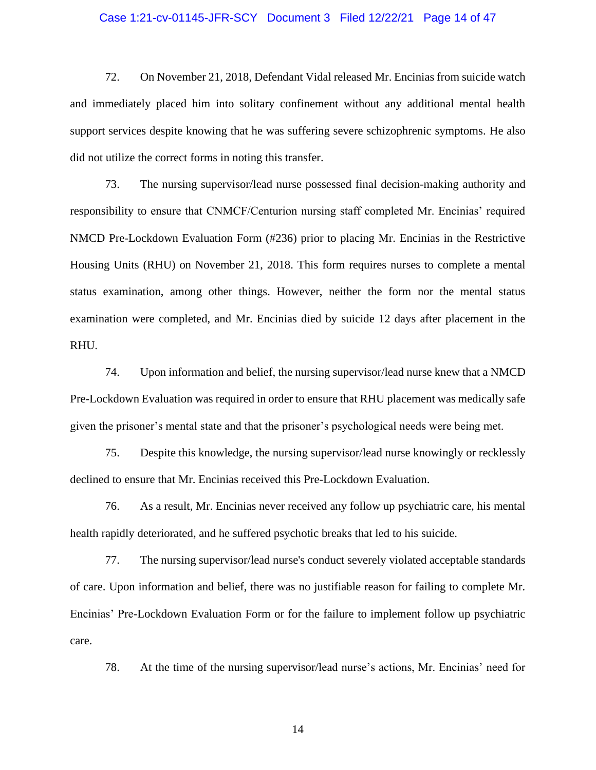#### Case 1:21-cv-01145-JFR-SCY Document 3 Filed 12/22/21 Page 14 of 47

72. On November 21, 2018, Defendant Vidal released Mr. Encinias from suicide watch and immediately placed him into solitary confinement without any additional mental health support services despite knowing that he was suffering severe schizophrenic symptoms. He also did not utilize the correct forms in noting this transfer.

73. The nursing supervisor/lead nurse possessed final decision-making authority and responsibility to ensure that CNMCF/Centurion nursing staff completed Mr. Encinias' required NMCD Pre-Lockdown Evaluation Form (#236) prior to placing Mr. Encinias in the Restrictive Housing Units (RHU) on November 21, 2018. This form requires nurses to complete a mental status examination, among other things. However, neither the form nor the mental status examination were completed, and Mr. Encinias died by suicide 12 days after placement in the RHU.

74. Upon information and belief, the nursing supervisor/lead nurse knew that a NMCD Pre-Lockdown Evaluation was required in order to ensure that RHU placement was medically safe given the prisoner's mental state and that the prisoner's psychological needs were being met.

75. Despite this knowledge, the nursing supervisor/lead nurse knowingly or recklessly declined to ensure that Mr. Encinias received this Pre-Lockdown Evaluation.

76. As a result, Mr. Encinias never received any follow up psychiatric care, his mental health rapidly deteriorated, and he suffered psychotic breaks that led to his suicide.

77. The nursing supervisor/lead nurse's conduct severely violated acceptable standards of care. Upon information and belief, there was no justifiable reason for failing to complete Mr. Encinias' Pre-Lockdown Evaluation Form or for the failure to implement follow up psychiatric care.

78. At the time of the nursing supervisor/lead nurse's actions, Mr. Encinias' need for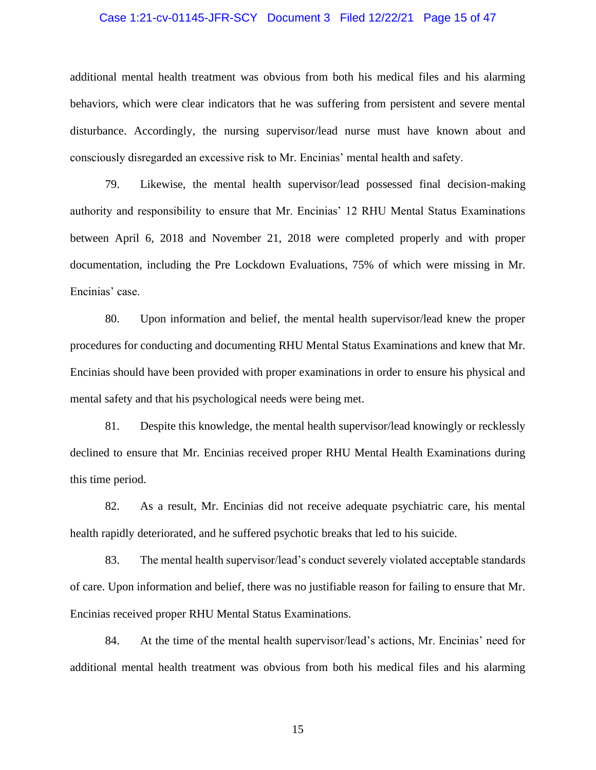### Case 1:21-cv-01145-JFR-SCY Document 3 Filed 12/22/21 Page 15 of 47

additional mental health treatment was obvious from both his medical files and his alarming behaviors, which were clear indicators that he was suffering from persistent and severe mental disturbance. Accordingly, the nursing supervisor/lead nurse must have known about and consciously disregarded an excessive risk to Mr. Encinias' mental health and safety.

79. Likewise, the mental health supervisor/lead possessed final decision-making authority and responsibility to ensure that Mr. Encinias' 12 RHU Mental Status Examinations between April 6, 2018 and November 21, 2018 were completed properly and with proper documentation, including the Pre Lockdown Evaluations, 75% of which were missing in Mr. Encinias' case.

80. Upon information and belief, the mental health supervisor/lead knew the proper procedures for conducting and documenting RHU Mental Status Examinations and knew that Mr. Encinias should have been provided with proper examinations in order to ensure his physical and mental safety and that his psychological needs were being met.

81. Despite this knowledge, the mental health supervisor/lead knowingly or recklessly declined to ensure that Mr. Encinias received proper RHU Mental Health Examinations during this time period.

82. As a result, Mr. Encinias did not receive adequate psychiatric care, his mental health rapidly deteriorated, and he suffered psychotic breaks that led to his suicide.

83. The mental health supervisor/lead's conduct severely violated acceptable standards of care. Upon information and belief, there was no justifiable reason for failing to ensure that Mr. Encinias received proper RHU Mental Status Examinations.

84. At the time of the mental health supervisor/lead's actions, Mr. Encinias' need for additional mental health treatment was obvious from both his medical files and his alarming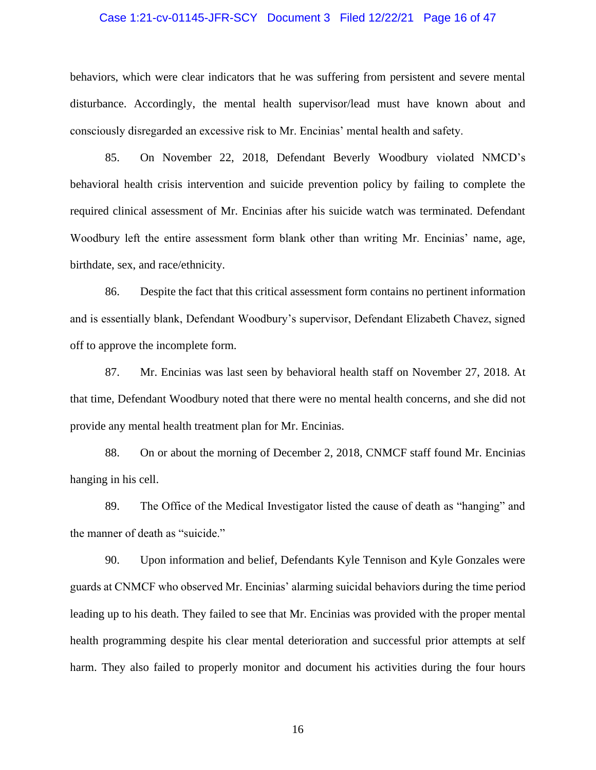### Case 1:21-cv-01145-JFR-SCY Document 3 Filed 12/22/21 Page 16 of 47

behaviors, which were clear indicators that he was suffering from persistent and severe mental disturbance. Accordingly, the mental health supervisor/lead must have known about and consciously disregarded an excessive risk to Mr. Encinias' mental health and safety.

85. On November 22, 2018, Defendant Beverly Woodbury violated NMCD's behavioral health crisis intervention and suicide prevention policy by failing to complete the required clinical assessment of Mr. Encinias after his suicide watch was terminated. Defendant Woodbury left the entire assessment form blank other than writing Mr. Encinias' name, age, birthdate, sex, and race/ethnicity.

86. Despite the fact that this critical assessment form contains no pertinent information and is essentially blank, Defendant Woodbury's supervisor, Defendant Elizabeth Chavez, signed off to approve the incomplete form.

87. Mr. Encinias was last seen by behavioral health staff on November 27, 2018. At that time, Defendant Woodbury noted that there were no mental health concerns, and she did not provide any mental health treatment plan for Mr. Encinias.

88. On or about the morning of December 2, 2018, CNMCF staff found Mr. Encinias hanging in his cell.

89. The Office of the Medical Investigator listed the cause of death as "hanging" and the manner of death as "suicide."

90. Upon information and belief, Defendants Kyle Tennison and Kyle Gonzales were guards at CNMCF who observed Mr. Encinias' alarming suicidal behaviors during the time period leading up to his death. They failed to see that Mr. Encinias was provided with the proper mental health programming despite his clear mental deterioration and successful prior attempts at self harm. They also failed to properly monitor and document his activities during the four hours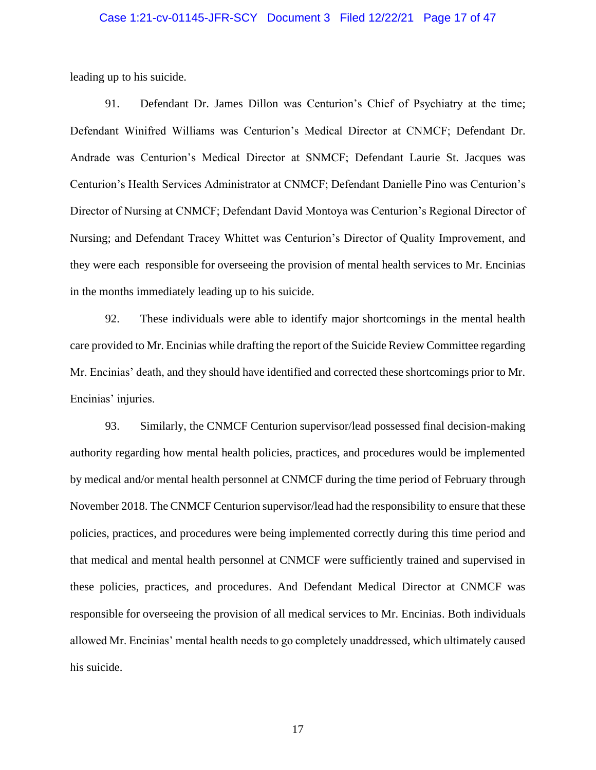### Case 1:21-cv-01145-JFR-SCY Document 3 Filed 12/22/21 Page 17 of 47

leading up to his suicide.

91. Defendant Dr. James Dillon was Centurion's Chief of Psychiatry at the time; Defendant Winifred Williams was Centurion's Medical Director at CNMCF; Defendant Dr. Andrade was Centurion's Medical Director at SNMCF; Defendant Laurie St. Jacques was Centurion's Health Services Administrator at CNMCF; Defendant Danielle Pino was Centurion's Director of Nursing at CNMCF; Defendant David Montoya was Centurion's Regional Director of Nursing; and Defendant Tracey Whittet was Centurion's Director of Quality Improvement, and they were each responsible for overseeing the provision of mental health services to Mr. Encinias in the months immediately leading up to his suicide.

92. These individuals were able to identify major shortcomings in the mental health care provided to Mr. Encinias while drafting the report of the Suicide Review Committee regarding Mr. Encinias' death, and they should have identified and corrected these shortcomings prior to Mr. Encinias' injuries.

93. Similarly, the CNMCF Centurion supervisor/lead possessed final decision-making authority regarding how mental health policies, practices, and procedures would be implemented by medical and/or mental health personnel at CNMCF during the time period of February through November 2018. The CNMCF Centurion supervisor/lead had the responsibility to ensure that these policies, practices, and procedures were being implemented correctly during this time period and that medical and mental health personnel at CNMCF were sufficiently trained and supervised in these policies, practices, and procedures. And Defendant Medical Director at CNMCF was responsible for overseeing the provision of all medical services to Mr. Encinias. Both individuals allowed Mr. Encinias' mental health needs to go completely unaddressed, which ultimately caused his suicide.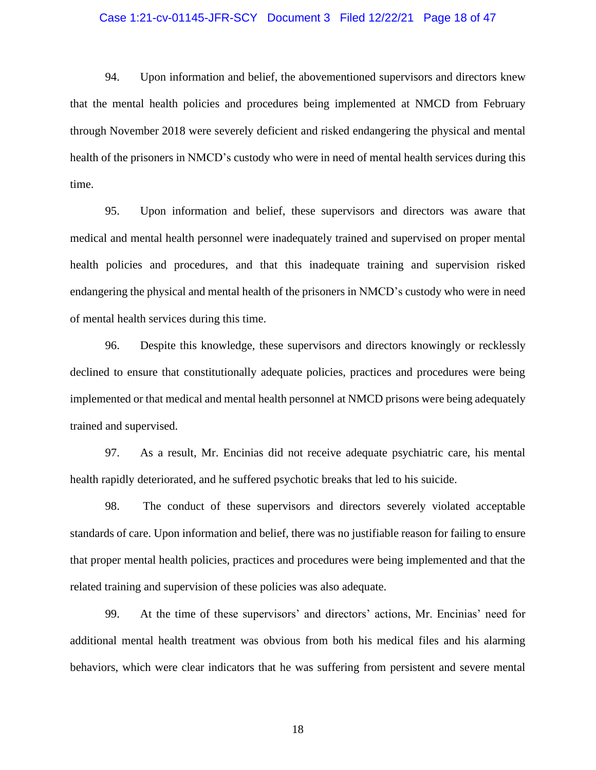#### Case 1:21-cv-01145-JFR-SCY Document 3 Filed 12/22/21 Page 18 of 47

94. Upon information and belief, the abovementioned supervisors and directors knew that the mental health policies and procedures being implemented at NMCD from February through November 2018 were severely deficient and risked endangering the physical and mental health of the prisoners in NMCD's custody who were in need of mental health services during this time.

95. Upon information and belief, these supervisors and directors was aware that medical and mental health personnel were inadequately trained and supervised on proper mental health policies and procedures, and that this inadequate training and supervision risked endangering the physical and mental health of the prisoners in NMCD's custody who were in need of mental health services during this time.

96. Despite this knowledge, these supervisors and directors knowingly or recklessly declined to ensure that constitutionally adequate policies, practices and procedures were being implemented or that medical and mental health personnel at NMCD prisons were being adequately trained and supervised.

97. As a result, Mr. Encinias did not receive adequate psychiatric care, his mental health rapidly deteriorated, and he suffered psychotic breaks that led to his suicide.

98. The conduct of these supervisors and directors severely violated acceptable standards of care. Upon information and belief, there was no justifiable reason for failing to ensure that proper mental health policies, practices and procedures were being implemented and that the related training and supervision of these policies was also adequate.

99. At the time of these supervisors' and directors' actions, Mr. Encinias' need for additional mental health treatment was obvious from both his medical files and his alarming behaviors, which were clear indicators that he was suffering from persistent and severe mental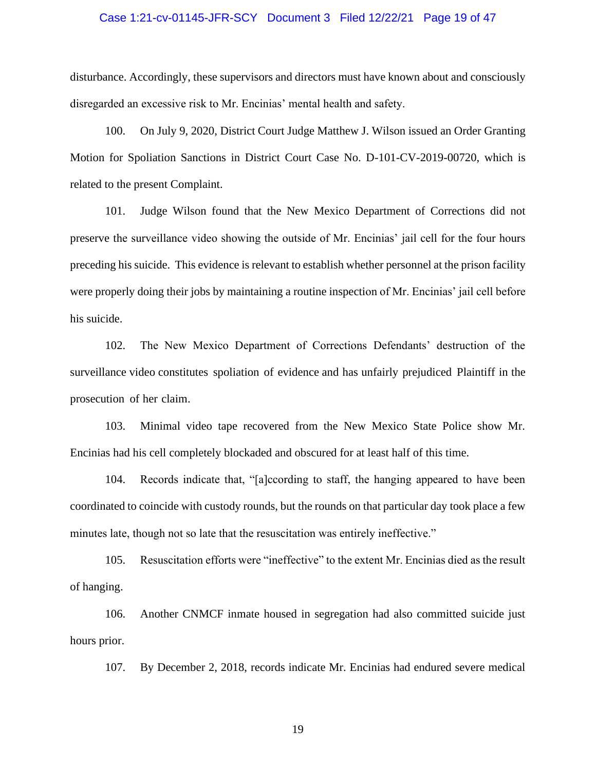#### Case 1:21-cv-01145-JFR-SCY Document 3 Filed 12/22/21 Page 19 of 47

disturbance. Accordingly, these supervisors and directors must have known about and consciously disregarded an excessive risk to Mr. Encinias' mental health and safety.

100. On July 9, 2020, District Court Judge Matthew J. Wilson issued an Order Granting Motion for Spoliation Sanctions in District Court Case No. D-101-CV-2019-00720, which is related to the present Complaint.

101. Judge Wilson found that the New Mexico Department of Corrections did not preserve the surveillance video showing the outside of Mr. Encinias' jail cell for the four hours preceding his suicide. This evidence is relevant to establish whether personnel at the prison facility were properly doing their jobs by maintaining a routine inspection of Mr. Encinias' jail cell before his suicide.

102. The New Mexico Department of Corrections Defendants' destruction of the surveillance video constitutes spoliation of evidence and has unfairly prejudiced Plaintiff in the prosecution of her claim.

103. Minimal video tape recovered from the New Mexico State Police show Mr. Encinias had his cell completely blockaded and obscured for at least half of this time.

104. Records indicate that, "[a]ccording to staff, the hanging appeared to have been coordinated to coincide with custody rounds, but the rounds on that particular day took place a few minutes late, though not so late that the resuscitation was entirely ineffective."

105. Resuscitation efforts were "ineffective" to the extent Mr. Encinias died as the result of hanging.

106. Another CNMCF inmate housed in segregation had also committed suicide just hours prior.

107. By December 2, 2018, records indicate Mr. Encinias had endured severe medical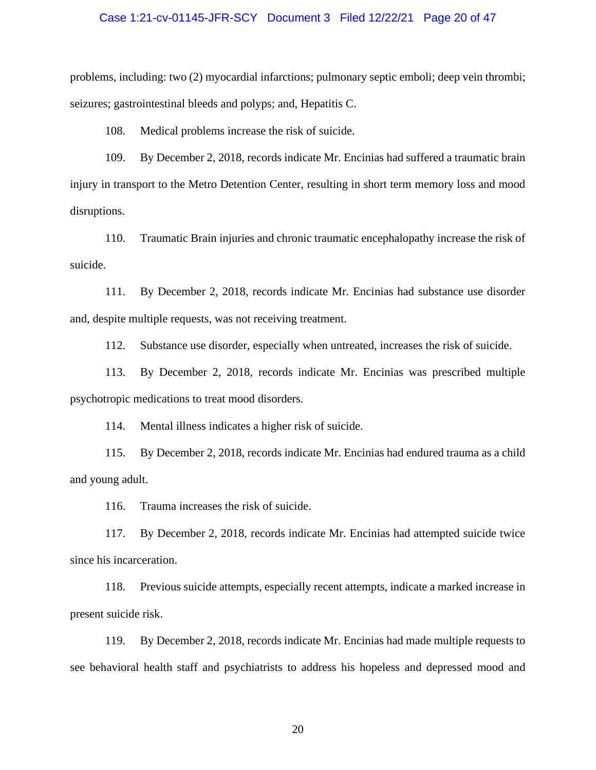### Case 1:21-cv-01145-JFR-SCY Document 3 Filed 12/22/21 Page 20 of 47

problems, including: two (2) myocardial infarctions; pulmonary septic emboli; deep vein thrombi; seizures; gastrointestinal bleeds and polyps; and, Hepatitis C.

108. Medical problems increase the risk of suicide.

109. By December 2, 2018, records indicate Mr. Encinias had suffered a traumatic brain injury in transport to the Metro Detention Center, resulting in short term memory loss and mood disruptions.

110. Traumatic Brain injuries and chronic traumatic encephalopathy increase the risk of suicide.

111. By December 2, 2018, records indicate Mr. Encinias had substance use disorder and, despite multiple requests, was not receiving treatment.

112. Substance use disorder, especially when untreated, increases the risk of suicide.

113. By December 2, 2018, records indicate Mr. Encinias was prescribed multiple psychotropic medications to treat mood disorders.

114. Mental illness indicates a higher risk of suicide.

115. By December 2, 2018, records indicate Mr. Encinias had endured trauma as a child and young adult.

116. Trauma increases the risk of suicide.

117. By December 2, 2018, records indicate Mr. Encinias had attempted suicide twice since his incarceration.

118. Previous suicide attempts, especially recent attempts, indicate a marked increase in present suicide risk.

119. By December 2, 2018, records indicate Mr. Encinias had made multiple requests to see behavioral health staff and psychiatrists to address his hopeless and depressed mood and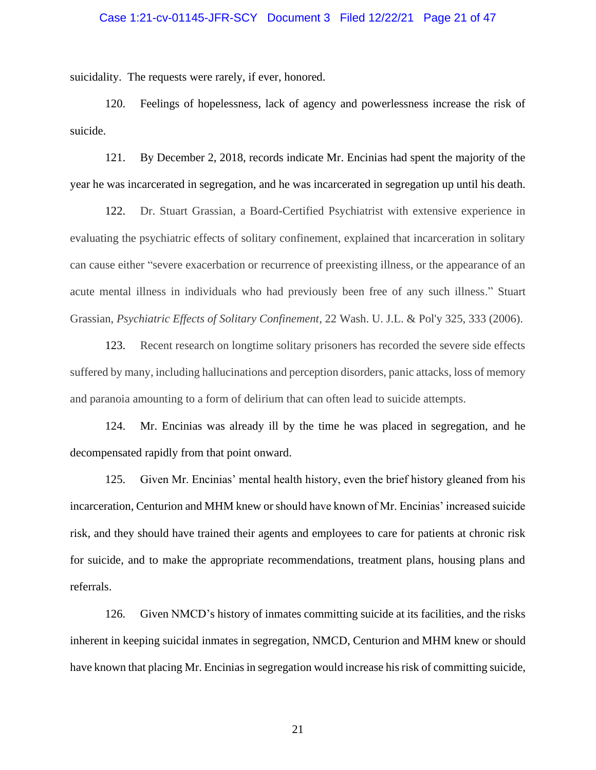### Case 1:21-cv-01145-JFR-SCY Document 3 Filed 12/22/21 Page 21 of 47

suicidality. The requests were rarely, if ever, honored.

120. Feelings of hopelessness, lack of agency and powerlessness increase the risk of suicide.

121. By December 2, 2018, records indicate Mr. Encinias had spent the majority of the year he was incarcerated in segregation, and he was incarcerated in segregation up until his death.

122. Dr. Stuart Grassian, a Board-Certified Psychiatrist with extensive experience in evaluating the psychiatric effects of solitary confinement, explained that incarceration in solitary can cause either "severe exacerbation or recurrence of preexisting illness, or the appearance of an acute mental illness in individuals who had previously been free of any such illness." Stuart Grassian, *Psychiatric Effects of Solitary Confinement*, 22 Wash. U. J.L. & Pol'y 325, 333 (2006).

123. Recent research on longtime solitary prisoners has recorded the severe side effects suffered by many, including hallucinations and perception disorders, panic attacks, loss of memory and paranoia amounting to a form of delirium that can often lead to suicide attempts.

124. Mr. Encinias was already ill by the time he was placed in segregation, and he decompensated rapidly from that point onward.

125. Given Mr. Encinias' mental health history, even the brief history gleaned from his incarceration, Centurion and MHM knew or should have known of Mr. Encinias' increased suicide risk, and they should have trained their agents and employees to care for patients at chronic risk for suicide, and to make the appropriate recommendations, treatment plans, housing plans and referrals.

126. Given NMCD's history of inmates committing suicide at its facilities, and the risks inherent in keeping suicidal inmates in segregation, NMCD, Centurion and MHM knew or should have known that placing Mr. Encinias in segregation would increase his risk of committing suicide,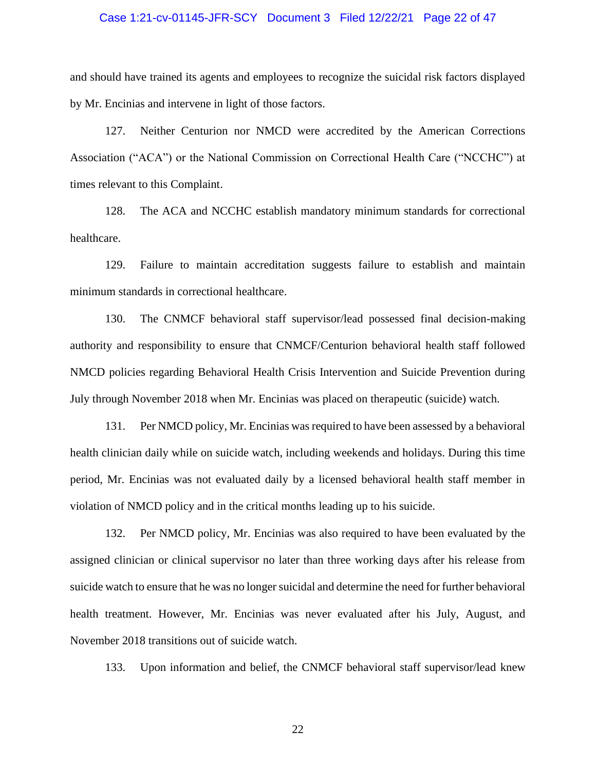#### Case 1:21-cv-01145-JFR-SCY Document 3 Filed 12/22/21 Page 22 of 47

and should have trained its agents and employees to recognize the suicidal risk factors displayed by Mr. Encinias and intervene in light of those factors.

127. Neither Centurion nor NMCD were accredited by the American Corrections Association ("ACA") or the National Commission on Correctional Health Care ("NCCHC") at times relevant to this Complaint.

128. The ACA and NCCHC establish mandatory minimum standards for correctional healthcare.

129. Failure to maintain accreditation suggests failure to establish and maintain minimum standards in correctional healthcare.

130. The CNMCF behavioral staff supervisor/lead possessed final decision-making authority and responsibility to ensure that CNMCF/Centurion behavioral health staff followed NMCD policies regarding Behavioral Health Crisis Intervention and Suicide Prevention during July through November 2018 when Mr. Encinias was placed on therapeutic (suicide) watch.

131. Per NMCD policy, Mr. Encinias was required to have been assessed by a behavioral health clinician daily while on suicide watch, including weekends and holidays. During this time period, Mr. Encinias was not evaluated daily by a licensed behavioral health staff member in violation of NMCD policy and in the critical months leading up to his suicide.

132. Per NMCD policy, Mr. Encinias was also required to have been evaluated by the assigned clinician or clinical supervisor no later than three working days after his release from suicide watch to ensure that he was no longer suicidal and determine the need for further behavioral health treatment. However, Mr. Encinias was never evaluated after his July, August, and November 2018 transitions out of suicide watch.

133. Upon information and belief, the CNMCF behavioral staff supervisor/lead knew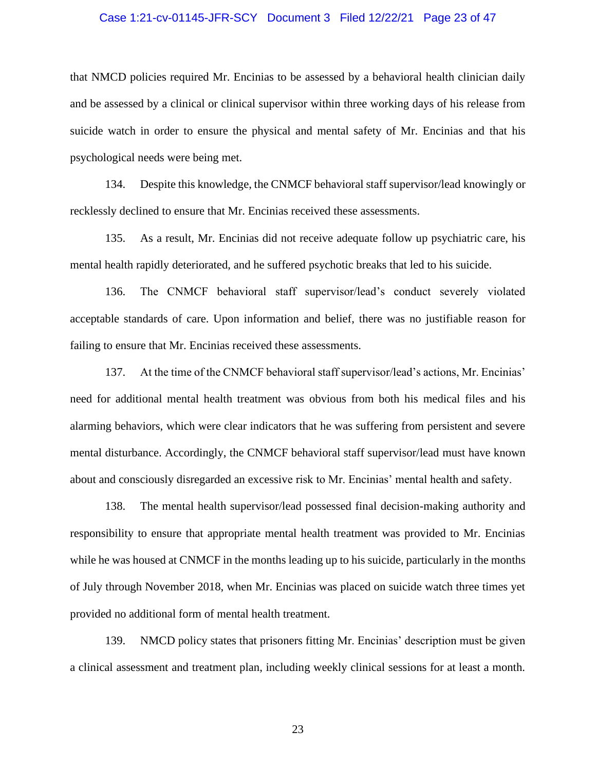### Case 1:21-cv-01145-JFR-SCY Document 3 Filed 12/22/21 Page 23 of 47

that NMCD policies required Mr. Encinias to be assessed by a behavioral health clinician daily and be assessed by a clinical or clinical supervisor within three working days of his release from suicide watch in order to ensure the physical and mental safety of Mr. Encinias and that his psychological needs were being met.

134. Despite this knowledge, the CNMCF behavioral staff supervisor/lead knowingly or recklessly declined to ensure that Mr. Encinias received these assessments.

135. As a result, Mr. Encinias did not receive adequate follow up psychiatric care, his mental health rapidly deteriorated, and he suffered psychotic breaks that led to his suicide.

136. The CNMCF behavioral staff supervisor/lead's conduct severely violated acceptable standards of care. Upon information and belief, there was no justifiable reason for failing to ensure that Mr. Encinias received these assessments.

137. At the time of the CNMCF behavioral staff supervisor/lead's actions, Mr. Encinias' need for additional mental health treatment was obvious from both his medical files and his alarming behaviors, which were clear indicators that he was suffering from persistent and severe mental disturbance. Accordingly, the CNMCF behavioral staff supervisor/lead must have known about and consciously disregarded an excessive risk to Mr. Encinias' mental health and safety.

138. The mental health supervisor/lead possessed final decision-making authority and responsibility to ensure that appropriate mental health treatment was provided to Mr. Encinias while he was housed at CNMCF in the months leading up to his suicide, particularly in the months of July through November 2018, when Mr. Encinias was placed on suicide watch three times yet provided no additional form of mental health treatment.

139. NMCD policy states that prisoners fitting Mr. Encinias' description must be given a clinical assessment and treatment plan, including weekly clinical sessions for at least a month.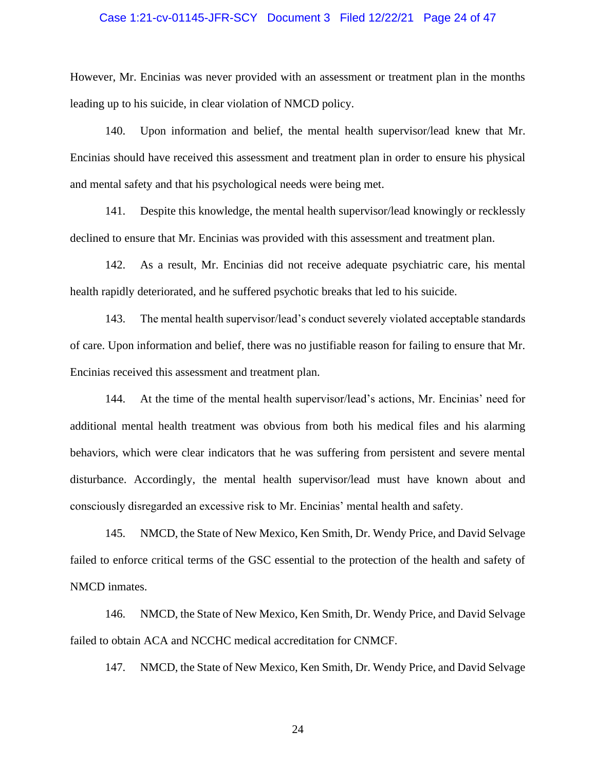### Case 1:21-cv-01145-JFR-SCY Document 3 Filed 12/22/21 Page 24 of 47

However, Mr. Encinias was never provided with an assessment or treatment plan in the months leading up to his suicide, in clear violation of NMCD policy.

140. Upon information and belief, the mental health supervisor/lead knew that Mr. Encinias should have received this assessment and treatment plan in order to ensure his physical and mental safety and that his psychological needs were being met.

141. Despite this knowledge, the mental health supervisor/lead knowingly or recklessly declined to ensure that Mr. Encinias was provided with this assessment and treatment plan.

142. As a result, Mr. Encinias did not receive adequate psychiatric care, his mental health rapidly deteriorated, and he suffered psychotic breaks that led to his suicide.

143. The mental health supervisor/lead's conduct severely violated acceptable standards of care. Upon information and belief, there was no justifiable reason for failing to ensure that Mr. Encinias received this assessment and treatment plan.

144. At the time of the mental health supervisor/lead's actions, Mr. Encinias' need for additional mental health treatment was obvious from both his medical files and his alarming behaviors, which were clear indicators that he was suffering from persistent and severe mental disturbance. Accordingly, the mental health supervisor/lead must have known about and consciously disregarded an excessive risk to Mr. Encinias' mental health and safety.

145. NMCD, the State of New Mexico, Ken Smith, Dr. Wendy Price, and David Selvage failed to enforce critical terms of the GSC essential to the protection of the health and safety of NMCD inmates.

146. NMCD, the State of New Mexico, Ken Smith, Dr. Wendy Price, and David Selvage failed to obtain ACA and NCCHC medical accreditation for CNMCF.

147. NMCD, the State of New Mexico, Ken Smith, Dr. Wendy Price, and David Selvage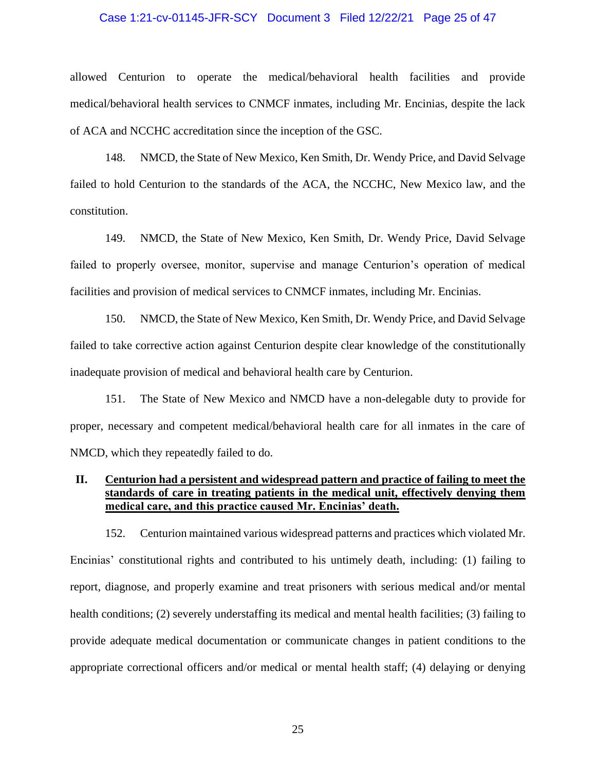#### Case 1:21-cv-01145-JFR-SCY Document 3 Filed 12/22/21 Page 25 of 47

allowed Centurion to operate the medical/behavioral health facilities and provide medical/behavioral health services to CNMCF inmates, including Mr. Encinias, despite the lack of ACA and NCCHC accreditation since the inception of the GSC.

148. NMCD, the State of New Mexico, Ken Smith, Dr. Wendy Price, and David Selvage failed to hold Centurion to the standards of the ACA, the NCCHC, New Mexico law, and the constitution.

149. NMCD, the State of New Mexico, Ken Smith, Dr. Wendy Price, David Selvage failed to properly oversee, monitor, supervise and manage Centurion's operation of medical facilities and provision of medical services to CNMCF inmates, including Mr. Encinias.

150. NMCD, the State of New Mexico, Ken Smith, Dr. Wendy Price, and David Selvage failed to take corrective action against Centurion despite clear knowledge of the constitutionally inadequate provision of medical and behavioral health care by Centurion.

151. The State of New Mexico and NMCD have a non-delegable duty to provide for proper, necessary and competent medical/behavioral health care for all inmates in the care of NMCD, which they repeatedly failed to do.

## **II. Centurion had a persistent and widespread pattern and practice of failing to meet the standards of care in treating patients in the medical unit, effectively denying them medical care, and this practice caused Mr. Encinias' death.**

152. Centurion maintained various widespread patterns and practices which violated Mr. Encinias' constitutional rights and contributed to his untimely death, including: (1) failing to report, diagnose, and properly examine and treat prisoners with serious medical and/or mental health conditions; (2) severely understaffing its medical and mental health facilities; (3) failing to provide adequate medical documentation or communicate changes in patient conditions to the appropriate correctional officers and/or medical or mental health staff; (4) delaying or denying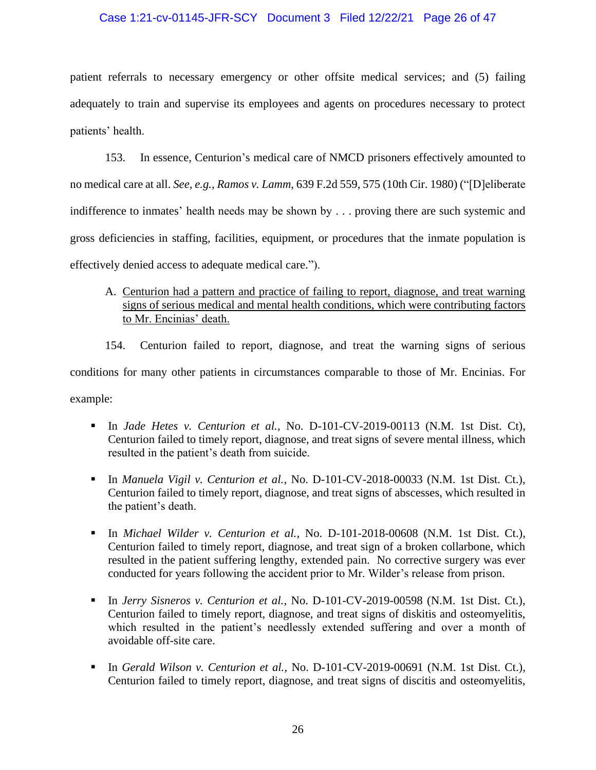### Case 1:21-cv-01145-JFR-SCY Document 3 Filed 12/22/21 Page 26 of 47

patient referrals to necessary emergency or other offsite medical services; and (5) failing adequately to train and supervise its employees and agents on procedures necessary to protect patients' health.

153. In essence, Centurion's medical care of NMCD prisoners effectively amounted to no medical care at all. *See, e.g., Ramos v. Lamm*, 639 F.2d 559, 575 (10th Cir. 1980) ("[D]eliberate indifference to inmates' health needs may be shown by . . . proving there are such systemic and gross deficiencies in staffing, facilities, equipment, or procedures that the inmate population is effectively denied access to adequate medical care.").

A. Centurion had a pattern and practice of failing to report, diagnose, and treat warning signs of serious medical and mental health conditions, which were contributing factors to Mr. Encinias' death.

154. Centurion failed to report, diagnose, and treat the warning signs of serious conditions for many other patients in circumstances comparable to those of Mr. Encinias. For example:

- In *Jade Hetes v. Centurion et al.*, No. D-101-CV-2019-00113 (N.M. 1st Dist. Ct), Centurion failed to timely report, diagnose, and treat signs of severe mental illness, which resulted in the patient's death from suicide.
- In *Manuela Vigil v. Centurion et al.*, No. D-101-CV-2018-00033 (N.M. 1st Dist. Ct.), Centurion failed to timely report, diagnose, and treat signs of abscesses, which resulted in the patient's death.
- In *Michael Wilder v. Centurion et al.*, No. D-101-2018-00608 (N.M. 1st Dist. Ct.), Centurion failed to timely report, diagnose, and treat sign of a broken collarbone, which resulted in the patient suffering lengthy, extended pain. No corrective surgery was ever conducted for years following the accident prior to Mr. Wilder's release from prison.
- In *Jerry Sisneros v. Centurion et al.*, No. D-101-CV-2019-00598 (N.M. 1st Dist. Ct.), Centurion failed to timely report, diagnose, and treat signs of diskitis and osteomyelitis, which resulted in the patient's needlessly extended suffering and over a month of avoidable off-site care.
- In *Gerald Wilson v. Centurion et al.*, No. D-101-CV-2019-00691 (N.M. 1st Dist. Ct.), Centurion failed to timely report, diagnose, and treat signs of discitis and osteomyelitis,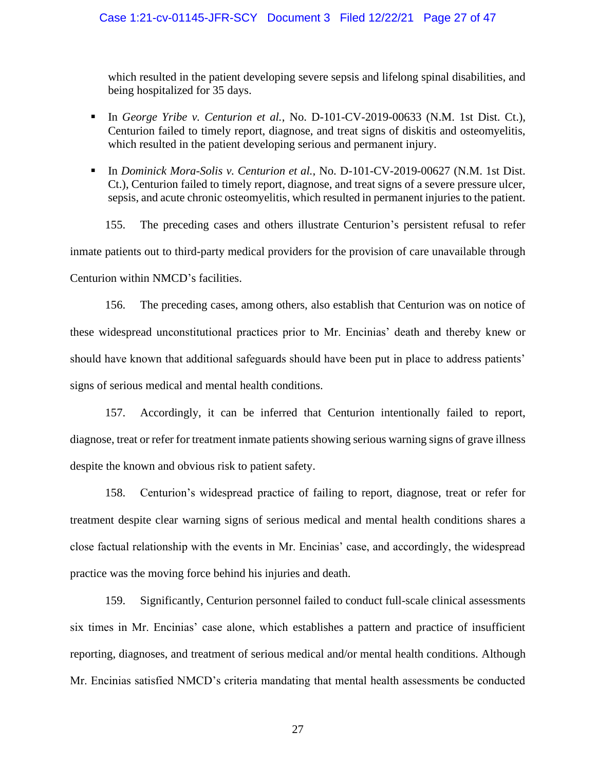which resulted in the patient developing severe sepsis and lifelong spinal disabilities, and being hospitalized for 35 days.

- In *George Yribe v. Centurion et al.*, No. D-101-CV-2019-00633 (N.M. 1st Dist. Ct.), Centurion failed to timely report, diagnose, and treat signs of diskitis and osteomyelitis, which resulted in the patient developing serious and permanent injury.
- In *Dominick Mora-Solis v. Centurion et al.*, No. D-101-CV-2019-00627 (N.M. 1st Dist. Ct.), Centurion failed to timely report, diagnose, and treat signs of a severe pressure ulcer, sepsis, and acute chronic osteomyelitis, which resulted in permanent injuries to the patient.

155. The preceding cases and others illustrate Centurion's persistent refusal to refer inmate patients out to third-party medical providers for the provision of care unavailable through Centurion within NMCD's facilities.

156. The preceding cases, among others, also establish that Centurion was on notice of these widespread unconstitutional practices prior to Mr. Encinias' death and thereby knew or should have known that additional safeguards should have been put in place to address patients' signs of serious medical and mental health conditions.

157. Accordingly, it can be inferred that Centurion intentionally failed to report, diagnose, treat or refer for treatment inmate patients showing serious warning signs of grave illness despite the known and obvious risk to patient safety.

158. Centurion's widespread practice of failing to report, diagnose, treat or refer for treatment despite clear warning signs of serious medical and mental health conditions shares a close factual relationship with the events in Mr. Encinias' case, and accordingly, the widespread practice was the moving force behind his injuries and death.

159. Significantly, Centurion personnel failed to conduct full-scale clinical assessments six times in Mr. Encinias' case alone, which establishes a pattern and practice of insufficient reporting, diagnoses, and treatment of serious medical and/or mental health conditions. Although Mr. Encinias satisfied NMCD's criteria mandating that mental health assessments be conducted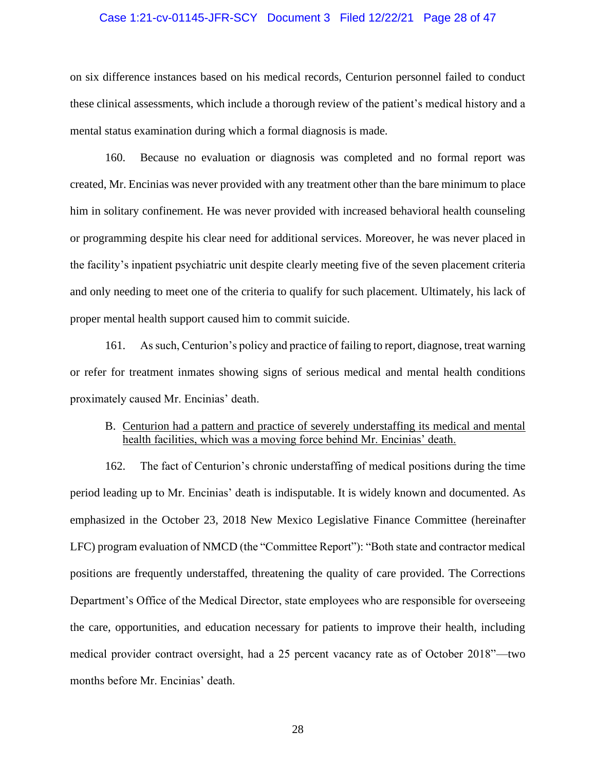#### Case 1:21-cv-01145-JFR-SCY Document 3 Filed 12/22/21 Page 28 of 47

on six difference instances based on his medical records, Centurion personnel failed to conduct these clinical assessments, which include a thorough review of the patient's medical history and a mental status examination during which a formal diagnosis is made.

160. Because no evaluation or diagnosis was completed and no formal report was created, Mr. Encinias was never provided with any treatment other than the bare minimum to place him in solitary confinement. He was never provided with increased behavioral health counseling or programming despite his clear need for additional services. Moreover, he was never placed in the facility's inpatient psychiatric unit despite clearly meeting five of the seven placement criteria and only needing to meet one of the criteria to qualify for such placement. Ultimately, his lack of proper mental health support caused him to commit suicide.

161. As such, Centurion's policy and practice of failing to report, diagnose, treat warning or refer for treatment inmates showing signs of serious medical and mental health conditions proximately caused Mr. Encinias' death.

## B. Centurion had a pattern and practice of severely understaffing its medical and mental health facilities, which was a moving force behind Mr. Encinias' death.

162. The fact of Centurion's chronic understaffing of medical positions during the time period leading up to Mr. Encinias' death is indisputable. It is widely known and documented. As emphasized in the October 23, 2018 New Mexico Legislative Finance Committee (hereinafter LFC) program evaluation of NMCD (the "Committee Report"): "Both state and contractor medical positions are frequently understaffed, threatening the quality of care provided. The Corrections Department's Office of the Medical Director, state employees who are responsible for overseeing the care, opportunities, and education necessary for patients to improve their health, including medical provider contract oversight, had a 25 percent vacancy rate as of October 2018"—two months before Mr. Encinias' death.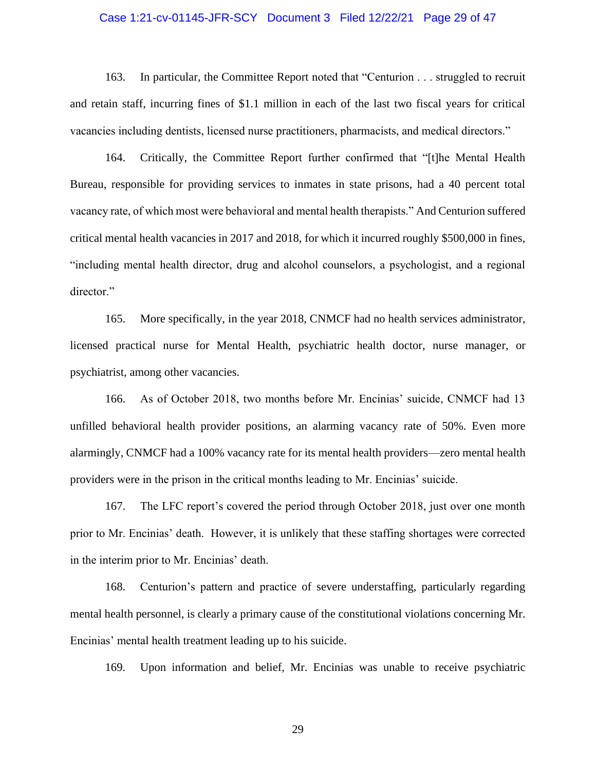### Case 1:21-cv-01145-JFR-SCY Document 3 Filed 12/22/21 Page 29 of 47

163. In particular, the Committee Report noted that "Centurion . . . struggled to recruit and retain staff, incurring fines of \$1.1 million in each of the last two fiscal years for critical vacancies including dentists, licensed nurse practitioners, pharmacists, and medical directors."

164. Critically, the Committee Report further confirmed that "[t]he Mental Health Bureau, responsible for providing services to inmates in state prisons, had a 40 percent total vacancy rate, of which most were behavioral and mental health therapists." And Centurion suffered critical mental health vacancies in 2017 and 2018, for which it incurred roughly \$500,000 in fines, "including mental health director, drug and alcohol counselors, a psychologist, and a regional director."

165. More specifically, in the year 2018, CNMCF had no health services administrator, licensed practical nurse for Mental Health, psychiatric health doctor, nurse manager, or psychiatrist, among other vacancies.

166. As of October 2018, two months before Mr. Encinias' suicide, CNMCF had 13 unfilled behavioral health provider positions, an alarming vacancy rate of 50%. Even more alarmingly, CNMCF had a 100% vacancy rate for its mental health providers—zero mental health providers were in the prison in the critical months leading to Mr. Encinias' suicide.

167. The LFC report's covered the period through October 2018, just over one month prior to Mr. Encinias' death. However, it is unlikely that these staffing shortages were corrected in the interim prior to Mr. Encinias' death.

168. Centurion's pattern and practice of severe understaffing, particularly regarding mental health personnel, is clearly a primary cause of the constitutional violations concerning Mr. Encinias' mental health treatment leading up to his suicide.

169. Upon information and belief, Mr. Encinias was unable to receive psychiatric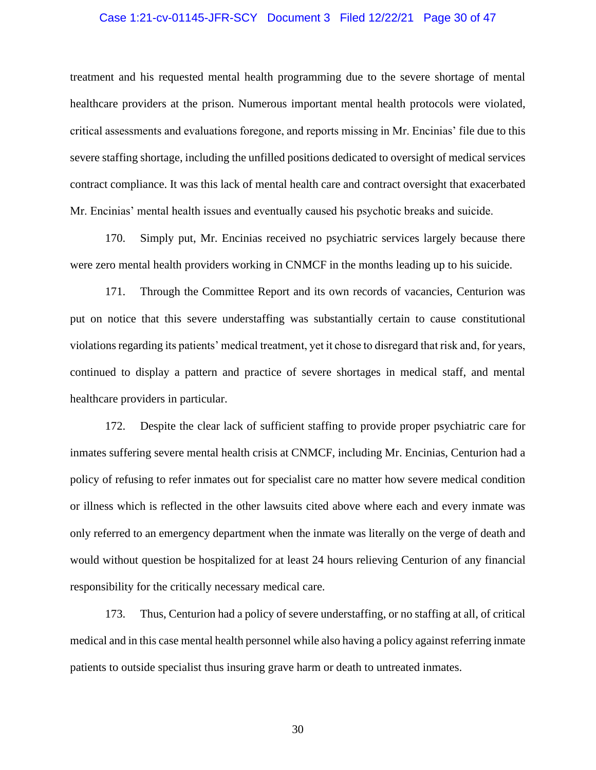#### Case 1:21-cv-01145-JFR-SCY Document 3 Filed 12/22/21 Page 30 of 47

treatment and his requested mental health programming due to the severe shortage of mental healthcare providers at the prison. Numerous important mental health protocols were violated, critical assessments and evaluations foregone, and reports missing in Mr. Encinias' file due to this severe staffing shortage, including the unfilled positions dedicated to oversight of medical services contract compliance. It was this lack of mental health care and contract oversight that exacerbated Mr. Encinias' mental health issues and eventually caused his psychotic breaks and suicide.

170. Simply put, Mr. Encinias received no psychiatric services largely because there were zero mental health providers working in CNMCF in the months leading up to his suicide.

171. Through the Committee Report and its own records of vacancies, Centurion was put on notice that this severe understaffing was substantially certain to cause constitutional violations regarding its patients' medical treatment, yet it chose to disregard that risk and, for years, continued to display a pattern and practice of severe shortages in medical staff, and mental healthcare providers in particular.

172. Despite the clear lack of sufficient staffing to provide proper psychiatric care for inmates suffering severe mental health crisis at CNMCF, including Mr. Encinias, Centurion had a policy of refusing to refer inmates out for specialist care no matter how severe medical condition or illness which is reflected in the other lawsuits cited above where each and every inmate was only referred to an emergency department when the inmate was literally on the verge of death and would without question be hospitalized for at least 24 hours relieving Centurion of any financial responsibility for the critically necessary medical care.

173. Thus, Centurion had a policy of severe understaffing, or no staffing at all, of critical medical and in this case mental health personnel while also having a policy against referring inmate patients to outside specialist thus insuring grave harm or death to untreated inmates.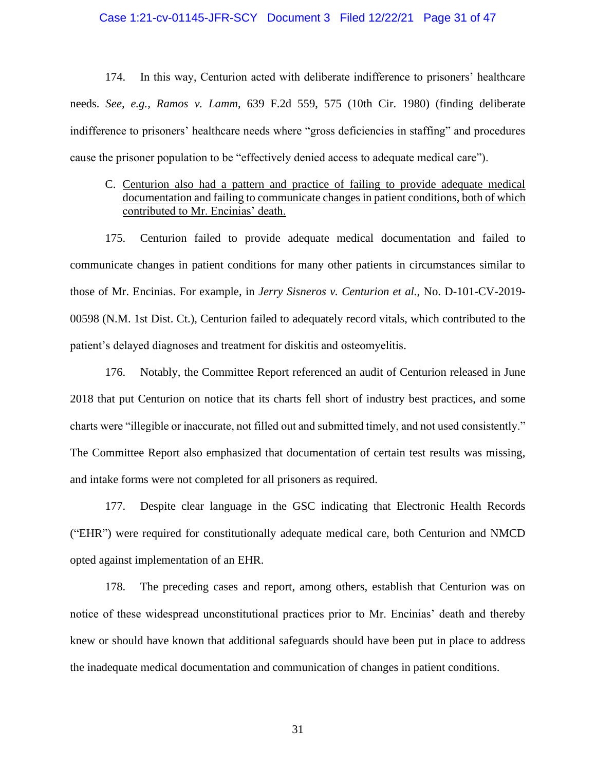#### Case 1:21-cv-01145-JFR-SCY Document 3 Filed 12/22/21 Page 31 of 47

174. In this way, Centurion acted with deliberate indifference to prisoners' healthcare needs. *See, e.g., Ramos v. Lamm*, 639 F.2d 559, 575 (10th Cir. 1980) (finding deliberate indifference to prisoners' healthcare needs where "gross deficiencies in staffing" and procedures cause the prisoner population to be "effectively denied access to adequate medical care").

# C. Centurion also had a pattern and practice of failing to provide adequate medical documentation and failing to communicate changes in patient conditions, both of which contributed to Mr. Encinias' death.

175. Centurion failed to provide adequate medical documentation and failed to communicate changes in patient conditions for many other patients in circumstances similar to those of Mr. Encinias. For example, in *Jerry Sisneros v. Centurion et al.*, No. D-101-CV-2019- 00598 (N.M. 1st Dist. Ct.), Centurion failed to adequately record vitals, which contributed to the patient's delayed diagnoses and treatment for diskitis and osteomyelitis.

176. Notably, the Committee Report referenced an audit of Centurion released in June 2018 that put Centurion on notice that its charts fell short of industry best practices, and some charts were "illegible or inaccurate, not filled out and submitted timely, and not used consistently." The Committee Report also emphasized that documentation of certain test results was missing, and intake forms were not completed for all prisoners as required.

177. Despite clear language in the GSC indicating that Electronic Health Records ("EHR") were required for constitutionally adequate medical care, both Centurion and NMCD opted against implementation of an EHR.

178. The preceding cases and report, among others, establish that Centurion was on notice of these widespread unconstitutional practices prior to Mr. Encinias' death and thereby knew or should have known that additional safeguards should have been put in place to address the inadequate medical documentation and communication of changes in patient conditions.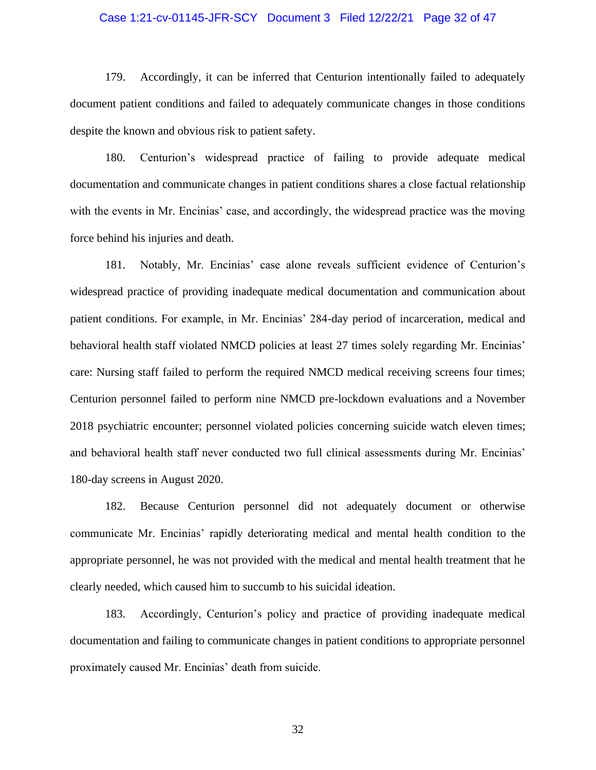### Case 1:21-cv-01145-JFR-SCY Document 3 Filed 12/22/21 Page 32 of 47

179. Accordingly, it can be inferred that Centurion intentionally failed to adequately document patient conditions and failed to adequately communicate changes in those conditions despite the known and obvious risk to patient safety.

180. Centurion's widespread practice of failing to provide adequate medical documentation and communicate changes in patient conditions shares a close factual relationship with the events in Mr. Encinias' case, and accordingly, the widespread practice was the moving force behind his injuries and death.

181. Notably, Mr. Encinias' case alone reveals sufficient evidence of Centurion's widespread practice of providing inadequate medical documentation and communication about patient conditions. For example, in Mr. Encinias' 284-day period of incarceration, medical and behavioral health staff violated NMCD policies at least 27 times solely regarding Mr. Encinias' care: Nursing staff failed to perform the required NMCD medical receiving screens four times; Centurion personnel failed to perform nine NMCD pre-lockdown evaluations and a November 2018 psychiatric encounter; personnel violated policies concerning suicide watch eleven times; and behavioral health staff never conducted two full clinical assessments during Mr. Encinias' 180-day screens in August 2020.

182. Because Centurion personnel did not adequately document or otherwise communicate Mr. Encinias' rapidly deteriorating medical and mental health condition to the appropriate personnel, he was not provided with the medical and mental health treatment that he clearly needed, which caused him to succumb to his suicidal ideation.

183. Accordingly, Centurion's policy and practice of providing inadequate medical documentation and failing to communicate changes in patient conditions to appropriate personnel proximately caused Mr. Encinias' death from suicide.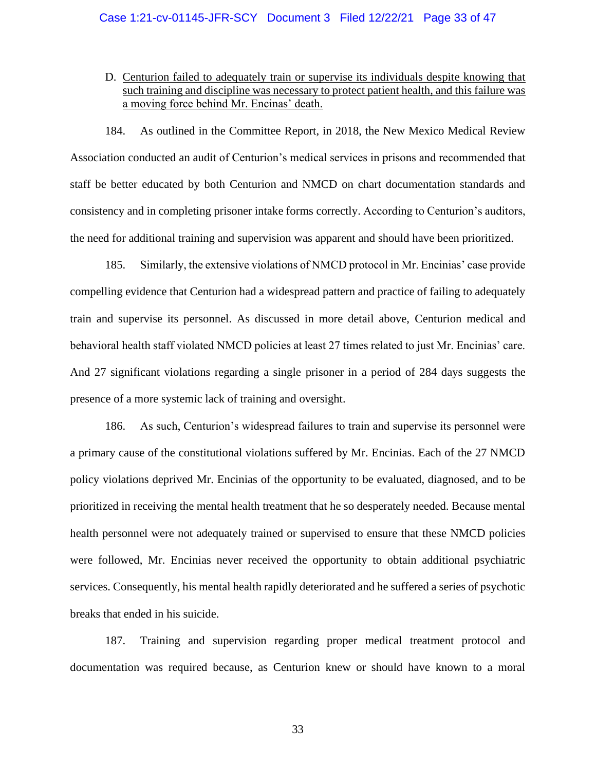D. Centurion failed to adequately train or supervise its individuals despite knowing that such training and discipline was necessary to protect patient health, and this failure was a moving force behind Mr. Encinas' death.

184. As outlined in the Committee Report, in 2018, the New Mexico Medical Review Association conducted an audit of Centurion's medical services in prisons and recommended that staff be better educated by both Centurion and NMCD on chart documentation standards and consistency and in completing prisoner intake forms correctly. According to Centurion's auditors, the need for additional training and supervision was apparent and should have been prioritized.

185. Similarly, the extensive violations of NMCD protocol in Mr. Encinias' case provide compelling evidence that Centurion had a widespread pattern and practice of failing to adequately train and supervise its personnel. As discussed in more detail above, Centurion medical and behavioral health staff violated NMCD policies at least 27 times related to just Mr. Encinias' care. And 27 significant violations regarding a single prisoner in a period of 284 days suggests the presence of a more systemic lack of training and oversight.

186. As such, Centurion's widespread failures to train and supervise its personnel were a primary cause of the constitutional violations suffered by Mr. Encinias. Each of the 27 NMCD policy violations deprived Mr. Encinias of the opportunity to be evaluated, diagnosed, and to be prioritized in receiving the mental health treatment that he so desperately needed. Because mental health personnel were not adequately trained or supervised to ensure that these NMCD policies were followed, Mr. Encinias never received the opportunity to obtain additional psychiatric services. Consequently, his mental health rapidly deteriorated and he suffered a series of psychotic breaks that ended in his suicide.

187. Training and supervision regarding proper medical treatment protocol and documentation was required because, as Centurion knew or should have known to a moral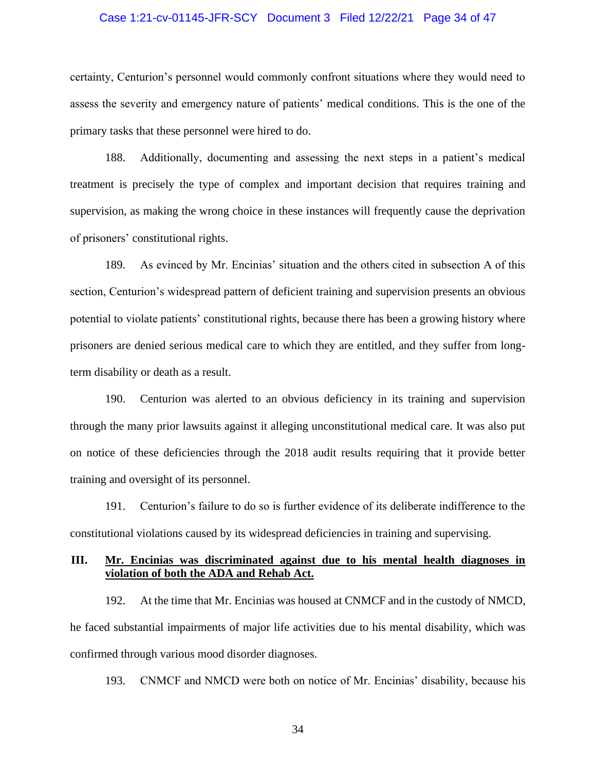### Case 1:21-cv-01145-JFR-SCY Document 3 Filed 12/22/21 Page 34 of 47

certainty, Centurion's personnel would commonly confront situations where they would need to assess the severity and emergency nature of patients' medical conditions. This is the one of the primary tasks that these personnel were hired to do.

188. Additionally, documenting and assessing the next steps in a patient's medical treatment is precisely the type of complex and important decision that requires training and supervision, as making the wrong choice in these instances will frequently cause the deprivation of prisoners' constitutional rights.

189. As evinced by Mr. Encinias' situation and the others cited in subsection A of this section, Centurion's widespread pattern of deficient training and supervision presents an obvious potential to violate patients' constitutional rights, because there has been a growing history where prisoners are denied serious medical care to which they are entitled, and they suffer from longterm disability or death as a result.

190. Centurion was alerted to an obvious deficiency in its training and supervision through the many prior lawsuits against it alleging unconstitutional medical care. It was also put on notice of these deficiencies through the 2018 audit results requiring that it provide better training and oversight of its personnel.

191. Centurion's failure to do so is further evidence of its deliberate indifference to the constitutional violations caused by its widespread deficiencies in training and supervising.

### **III. Mr. Encinias was discriminated against due to his mental health diagnoses in violation of both the ADA and Rehab Act.**

192. At the time that Mr. Encinias was housed at CNMCF and in the custody of NMCD, he faced substantial impairments of major life activities due to his mental disability, which was confirmed through various mood disorder diagnoses.

193. CNMCF and NMCD were both on notice of Mr. Encinias' disability, because his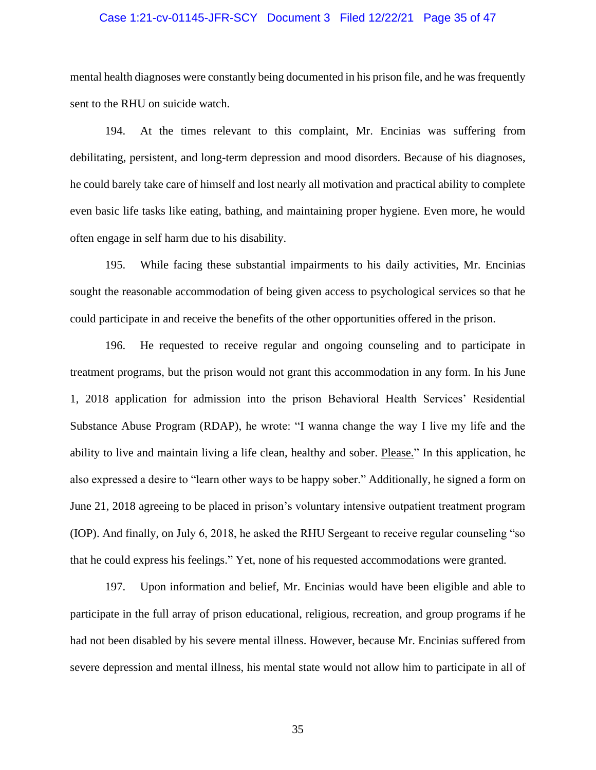#### Case 1:21-cv-01145-JFR-SCY Document 3 Filed 12/22/21 Page 35 of 47

mental health diagnoses were constantly being documented in his prison file, and he was frequently sent to the RHU on suicide watch.

194. At the times relevant to this complaint, Mr. Encinias was suffering from debilitating, persistent, and long-term depression and mood disorders. Because of his diagnoses, he could barely take care of himself and lost nearly all motivation and practical ability to complete even basic life tasks like eating, bathing, and maintaining proper hygiene. Even more, he would often engage in self harm due to his disability.

195. While facing these substantial impairments to his daily activities, Mr. Encinias sought the reasonable accommodation of being given access to psychological services so that he could participate in and receive the benefits of the other opportunities offered in the prison.

196. He requested to receive regular and ongoing counseling and to participate in treatment programs, but the prison would not grant this accommodation in any form. In his June 1, 2018 application for admission into the prison Behavioral Health Services' Residential Substance Abuse Program (RDAP), he wrote: "I wanna change the way I live my life and the ability to live and maintain living a life clean, healthy and sober. Please." In this application, he also expressed a desire to "learn other ways to be happy sober." Additionally, he signed a form on June 21, 2018 agreeing to be placed in prison's voluntary intensive outpatient treatment program (IOP). And finally, on July 6, 2018, he asked the RHU Sergeant to receive regular counseling "so that he could express his feelings." Yet, none of his requested accommodations were granted.

197. Upon information and belief, Mr. Encinias would have been eligible and able to participate in the full array of prison educational, religious, recreation, and group programs if he had not been disabled by his severe mental illness. However, because Mr. Encinias suffered from severe depression and mental illness, his mental state would not allow him to participate in all of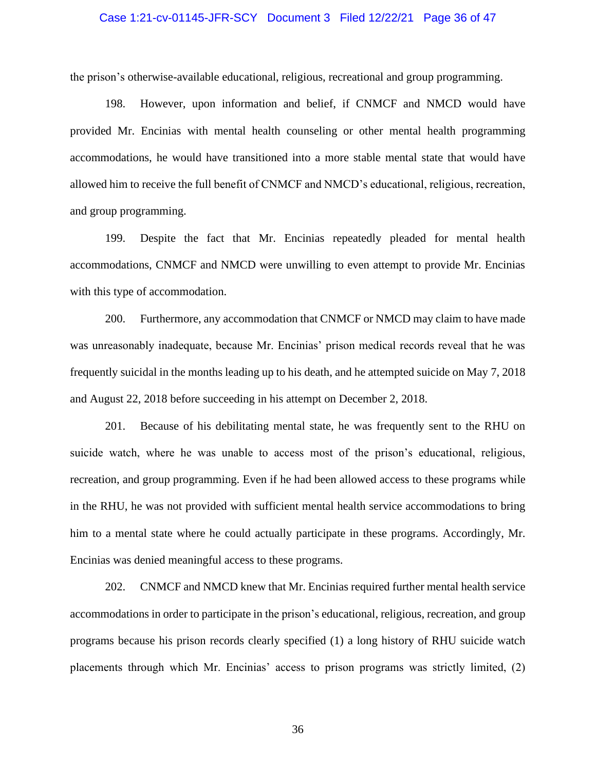#### Case 1:21-cv-01145-JFR-SCY Document 3 Filed 12/22/21 Page 36 of 47

the prison's otherwise-available educational, religious, recreational and group programming.

198. However, upon information and belief, if CNMCF and NMCD would have provided Mr. Encinias with mental health counseling or other mental health programming accommodations, he would have transitioned into a more stable mental state that would have allowed him to receive the full benefit of CNMCF and NMCD's educational, religious, recreation, and group programming.

199. Despite the fact that Mr. Encinias repeatedly pleaded for mental health accommodations, CNMCF and NMCD were unwilling to even attempt to provide Mr. Encinias with this type of accommodation.

200. Furthermore, any accommodation that CNMCF or NMCD may claim to have made was unreasonably inadequate, because Mr. Encinias' prison medical records reveal that he was frequently suicidal in the months leading up to his death, and he attempted suicide on May 7, 2018 and August 22, 2018 before succeeding in his attempt on December 2, 2018.

201. Because of his debilitating mental state, he was frequently sent to the RHU on suicide watch, where he was unable to access most of the prison's educational, religious, recreation, and group programming. Even if he had been allowed access to these programs while in the RHU, he was not provided with sufficient mental health service accommodations to bring him to a mental state where he could actually participate in these programs. Accordingly, Mr. Encinias was denied meaningful access to these programs.

202. CNMCF and NMCD knew that Mr. Encinias required further mental health service accommodations in order to participate in the prison's educational, religious, recreation, and group programs because his prison records clearly specified (1) a long history of RHU suicide watch placements through which Mr. Encinias' access to prison programs was strictly limited, (2)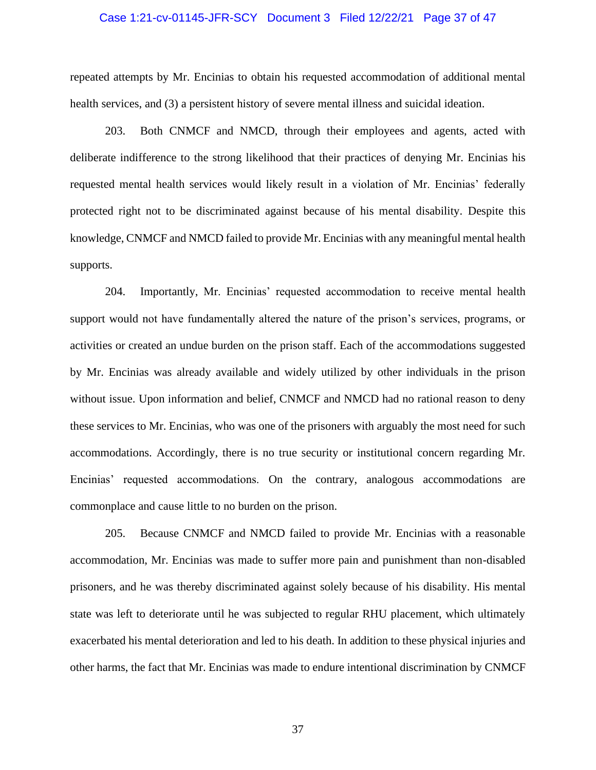#### Case 1:21-cv-01145-JFR-SCY Document 3 Filed 12/22/21 Page 37 of 47

repeated attempts by Mr. Encinias to obtain his requested accommodation of additional mental health services, and (3) a persistent history of severe mental illness and suicidal ideation.

203. Both CNMCF and NMCD, through their employees and agents, acted with deliberate indifference to the strong likelihood that their practices of denying Mr. Encinias his requested mental health services would likely result in a violation of Mr. Encinias' federally protected right not to be discriminated against because of his mental disability. Despite this knowledge, CNMCF and NMCD failed to provide Mr. Encinias with any meaningful mental health supports.

204. Importantly, Mr. Encinias' requested accommodation to receive mental health support would not have fundamentally altered the nature of the prison's services, programs, or activities or created an undue burden on the prison staff. Each of the accommodations suggested by Mr. Encinias was already available and widely utilized by other individuals in the prison without issue. Upon information and belief, CNMCF and NMCD had no rational reason to deny these services to Mr. Encinias, who was one of the prisoners with arguably the most need for such accommodations. Accordingly, there is no true security or institutional concern regarding Mr. Encinias' requested accommodations. On the contrary, analogous accommodations are commonplace and cause little to no burden on the prison.

205. Because CNMCF and NMCD failed to provide Mr. Encinias with a reasonable accommodation, Mr. Encinias was made to suffer more pain and punishment than non-disabled prisoners, and he was thereby discriminated against solely because of his disability. His mental state was left to deteriorate until he was subjected to regular RHU placement, which ultimately exacerbated his mental deterioration and led to his death. In addition to these physical injuries and other harms, the fact that Mr. Encinias was made to endure intentional discrimination by CNMCF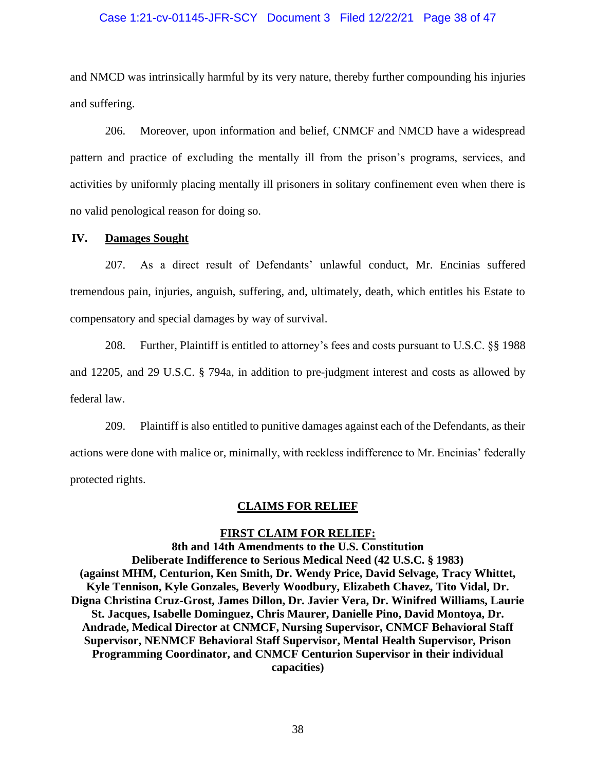### Case 1:21-cv-01145-JFR-SCY Document 3 Filed 12/22/21 Page 38 of 47

and NMCD was intrinsically harmful by its very nature, thereby further compounding his injuries and suffering.

206. Moreover, upon information and belief, CNMCF and NMCD have a widespread pattern and practice of excluding the mentally ill from the prison's programs, services, and activities by uniformly placing mentally ill prisoners in solitary confinement even when there is no valid penological reason for doing so.

#### **IV. Damages Sought**

207. As a direct result of Defendants' unlawful conduct, Mr. Encinias suffered tremendous pain, injuries, anguish, suffering, and, ultimately, death, which entitles his Estate to compensatory and special damages by way of survival.

208. Further, Plaintiff is entitled to attorney's fees and costs pursuant to U.S.C. §§ 1988 and 12205, and 29 U.S.C. § 794a, in addition to pre-judgment interest and costs as allowed by federal law.

209. Plaintiff is also entitled to punitive damages against each of the Defendants, as their actions were done with malice or, minimally, with reckless indifference to Mr. Encinias' federally protected rights.

#### **CLAIMS FOR RELIEF**

#### **FIRST CLAIM FOR RELIEF:**

**8th and 14th Amendments to the U.S. Constitution Deliberate Indifference to Serious Medical Need (42 U.S.C. § 1983) (against MHM, Centurion, Ken Smith, Dr. Wendy Price, David Selvage, Tracy Whittet, Kyle Tennison, Kyle Gonzales, Beverly Woodbury, Elizabeth Chavez, Tito Vidal, Dr. Digna Christina Cruz-Grost, James Dillon, Dr. Javier Vera, Dr. Winifred Williams, Laurie St. Jacques, Isabelle Dominguez, Chris Maurer, Danielle Pino, David Montoya, Dr. Andrade, Medical Director at CNMCF, Nursing Supervisor, CNMCF Behavioral Staff Supervisor, NENMCF Behavioral Staff Supervisor, Mental Health Supervisor, Prison Programming Coordinator, and CNMCF Centurion Supervisor in their individual capacities)**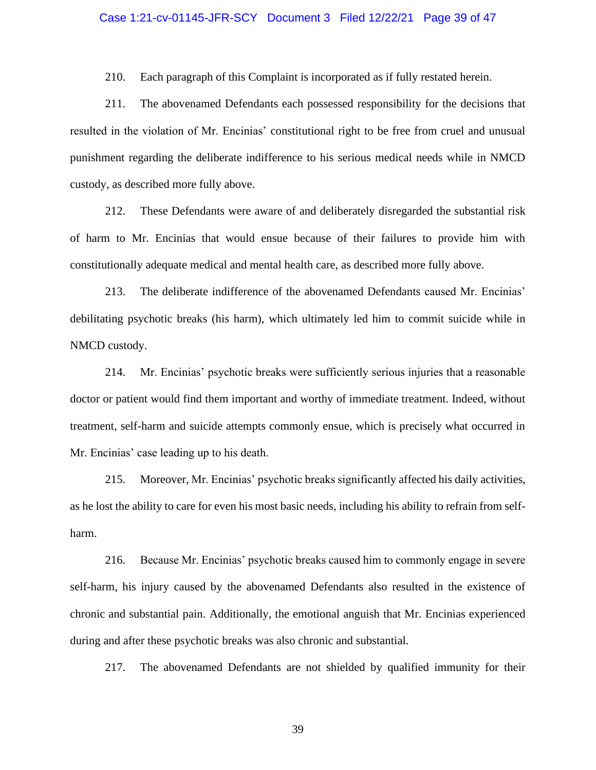### Case 1:21-cv-01145-JFR-SCY Document 3 Filed 12/22/21 Page 39 of 47

210. Each paragraph of this Complaint is incorporated as if fully restated herein.

211. The abovenamed Defendants each possessed responsibility for the decisions that resulted in the violation of Mr. Encinias' constitutional right to be free from cruel and unusual punishment regarding the deliberate indifference to his serious medical needs while in NMCD custody, as described more fully above.

212. These Defendants were aware of and deliberately disregarded the substantial risk of harm to Mr. Encinias that would ensue because of their failures to provide him with constitutionally adequate medical and mental health care, as described more fully above.

213. The deliberate indifference of the abovenamed Defendants caused Mr. Encinias' debilitating psychotic breaks (his harm), which ultimately led him to commit suicide while in NMCD custody.

214. Mr. Encinias' psychotic breaks were sufficiently serious injuries that a reasonable doctor or patient would find them important and worthy of immediate treatment. Indeed, without treatment, self-harm and suicide attempts commonly ensue, which is precisely what occurred in Mr. Encinias' case leading up to his death.

215. Moreover, Mr. Encinias' psychotic breaks significantly affected his daily activities, as he lost the ability to care for even his most basic needs, including his ability to refrain from selfharm.

216. Because Mr. Encinias' psychotic breaks caused him to commonly engage in severe self-harm, his injury caused by the abovenamed Defendants also resulted in the existence of chronic and substantial pain. Additionally, the emotional anguish that Mr. Encinias experienced during and after these psychotic breaks was also chronic and substantial.

217. The abovenamed Defendants are not shielded by qualified immunity for their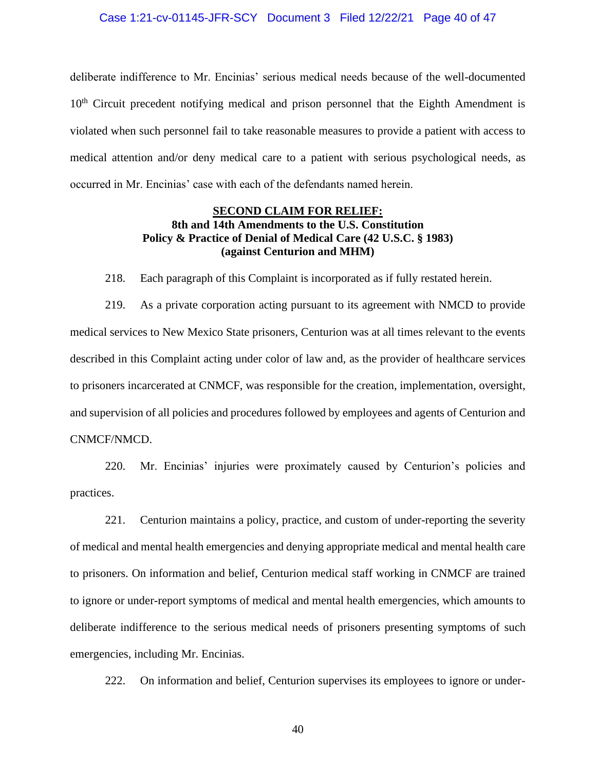#### Case 1:21-cv-01145-JFR-SCY Document 3 Filed 12/22/21 Page 40 of 47

deliberate indifference to Mr. Encinias' serious medical needs because of the well-documented 10<sup>th</sup> Circuit precedent notifying medical and prison personnel that the Eighth Amendment is violated when such personnel fail to take reasonable measures to provide a patient with access to medical attention and/or deny medical care to a patient with serious psychological needs, as occurred in Mr. Encinias' case with each of the defendants named herein.

## **SECOND CLAIM FOR RELIEF: 8th and 14th Amendments to the U.S. Constitution Policy & Practice of Denial of Medical Care (42 U.S.C. § 1983) (against Centurion and MHM)**

218. Each paragraph of this Complaint is incorporated as if fully restated herein.

219. As a private corporation acting pursuant to its agreement with NMCD to provide medical services to New Mexico State prisoners, Centurion was at all times relevant to the events described in this Complaint acting under color of law and, as the provider of healthcare services to prisoners incarcerated at CNMCF, was responsible for the creation, implementation, oversight, and supervision of all policies and procedures followed by employees and agents of Centurion and CNMCF/NMCD.

220. Mr. Encinias' injuries were proximately caused by Centurion's policies and practices.

221. Centurion maintains a policy, practice, and custom of under-reporting the severity of medical and mental health emergencies and denying appropriate medical and mental health care to prisoners. On information and belief, Centurion medical staff working in CNMCF are trained to ignore or under-report symptoms of medical and mental health emergencies, which amounts to deliberate indifference to the serious medical needs of prisoners presenting symptoms of such emergencies, including Mr. Encinias.

222. On information and belief, Centurion supervises its employees to ignore or under-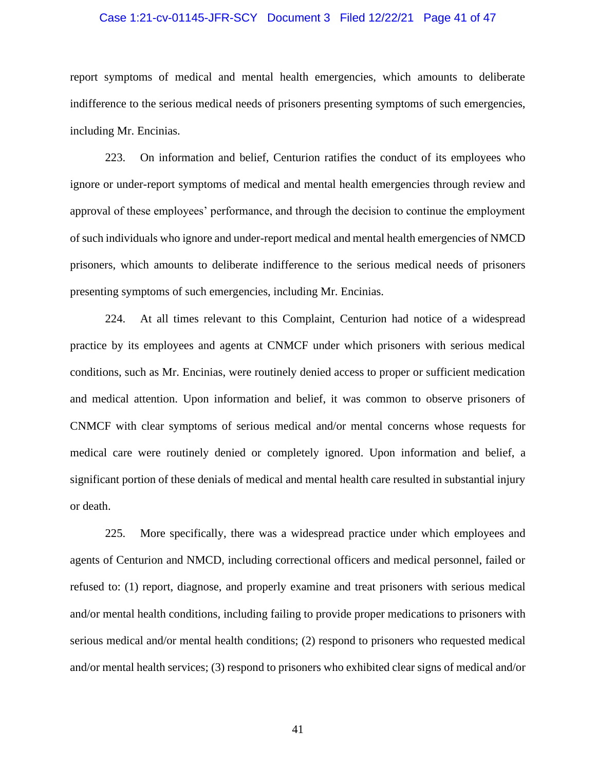#### Case 1:21-cv-01145-JFR-SCY Document 3 Filed 12/22/21 Page 41 of 47

report symptoms of medical and mental health emergencies, which amounts to deliberate indifference to the serious medical needs of prisoners presenting symptoms of such emergencies, including Mr. Encinias.

223. On information and belief, Centurion ratifies the conduct of its employees who ignore or under-report symptoms of medical and mental health emergencies through review and approval of these employees' performance, and through the decision to continue the employment of such individuals who ignore and under-report medical and mental health emergencies of NMCD prisoners, which amounts to deliberate indifference to the serious medical needs of prisoners presenting symptoms of such emergencies, including Mr. Encinias.

224. At all times relevant to this Complaint, Centurion had notice of a widespread practice by its employees and agents at CNMCF under which prisoners with serious medical conditions, such as Mr. Encinias, were routinely denied access to proper or sufficient medication and medical attention. Upon information and belief, it was common to observe prisoners of CNMCF with clear symptoms of serious medical and/or mental concerns whose requests for medical care were routinely denied or completely ignored. Upon information and belief, a significant portion of these denials of medical and mental health care resulted in substantial injury or death.

225. More specifically, there was a widespread practice under which employees and agents of Centurion and NMCD, including correctional officers and medical personnel, failed or refused to: (1) report, diagnose, and properly examine and treat prisoners with serious medical and/or mental health conditions, including failing to provide proper medications to prisoners with serious medical and/or mental health conditions; (2) respond to prisoners who requested medical and/or mental health services; (3) respond to prisoners who exhibited clear signs of medical and/or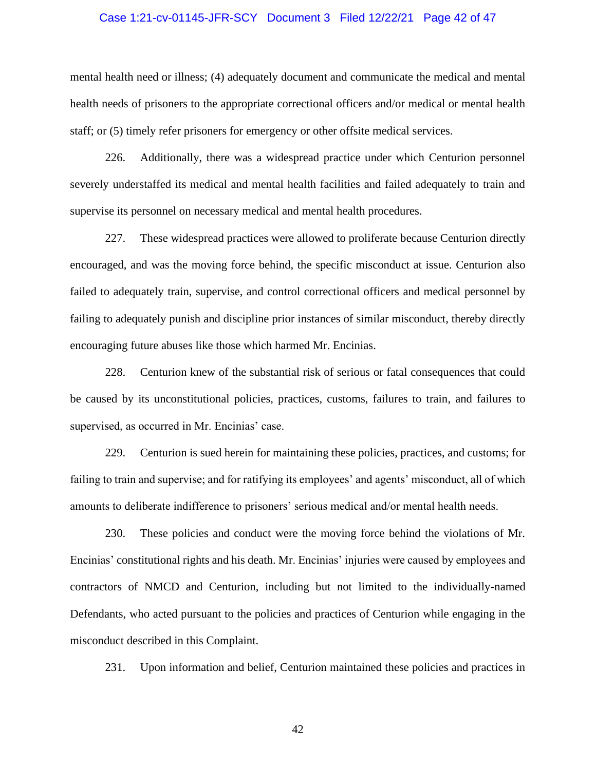#### Case 1:21-cv-01145-JFR-SCY Document 3 Filed 12/22/21 Page 42 of 47

mental health need or illness; (4) adequately document and communicate the medical and mental health needs of prisoners to the appropriate correctional officers and/or medical or mental health staff; or (5) timely refer prisoners for emergency or other offsite medical services.

226. Additionally, there was a widespread practice under which Centurion personnel severely understaffed its medical and mental health facilities and failed adequately to train and supervise its personnel on necessary medical and mental health procedures.

227. These widespread practices were allowed to proliferate because Centurion directly encouraged, and was the moving force behind, the specific misconduct at issue. Centurion also failed to adequately train, supervise, and control correctional officers and medical personnel by failing to adequately punish and discipline prior instances of similar misconduct, thereby directly encouraging future abuses like those which harmed Mr. Encinias.

228. Centurion knew of the substantial risk of serious or fatal consequences that could be caused by its unconstitutional policies, practices, customs, failures to train, and failures to supervised, as occurred in Mr. Encinias' case.

229. Centurion is sued herein for maintaining these policies, practices, and customs; for failing to train and supervise; and for ratifying its employees' and agents' misconduct, all of which amounts to deliberate indifference to prisoners' serious medical and/or mental health needs.

230. These policies and conduct were the moving force behind the violations of Mr. Encinias' constitutional rights and his death. Mr. Encinias' injuries were caused by employees and contractors of NMCD and Centurion, including but not limited to the individually-named Defendants, who acted pursuant to the policies and practices of Centurion while engaging in the misconduct described in this Complaint.

231. Upon information and belief, Centurion maintained these policies and practices in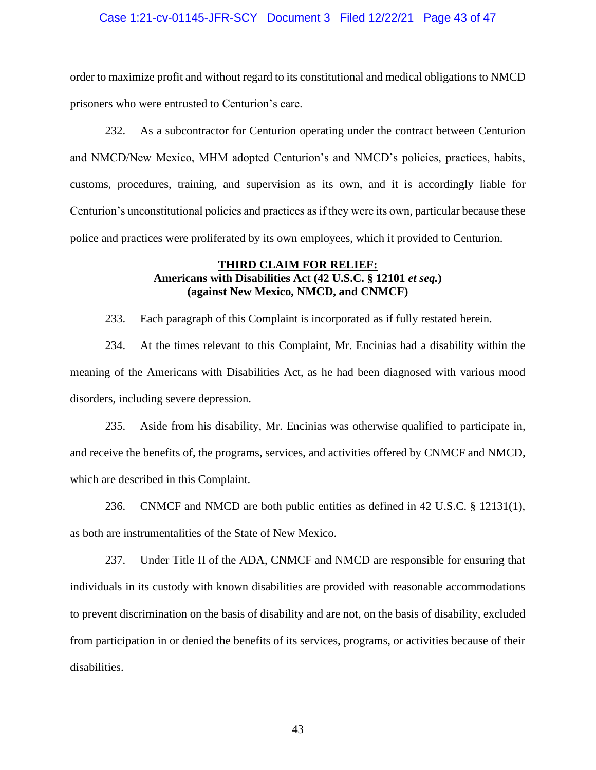#### Case 1:21-cv-01145-JFR-SCY Document 3 Filed 12/22/21 Page 43 of 47

order to maximize profit and without regard to its constitutional and medical obligations to NMCD prisoners who were entrusted to Centurion's care.

232. As a subcontractor for Centurion operating under the contract between Centurion and NMCD/New Mexico, MHM adopted Centurion's and NMCD's policies, practices, habits, customs, procedures, training, and supervision as its own, and it is accordingly liable for Centurion's unconstitutional policies and practices as if they were its own, particular because these police and practices were proliferated by its own employees, which it provided to Centurion.

### **THIRD CLAIM FOR RELIEF: Americans with Disabilities Act (42 U.S.C. § 12101** *et seq.***) (against New Mexico, NMCD, and CNMCF)**

233. Each paragraph of this Complaint is incorporated as if fully restated herein.

234. At the times relevant to this Complaint, Mr. Encinias had a disability within the meaning of the Americans with Disabilities Act, as he had been diagnosed with various mood disorders, including severe depression.

235. Aside from his disability, Mr. Encinias was otherwise qualified to participate in, and receive the benefits of, the programs, services, and activities offered by CNMCF and NMCD, which are described in this Complaint.

236. CNMCF and NMCD are both public entities as defined in 42 U.S.C. § 12131(1), as both are instrumentalities of the State of New Mexico.

237. Under Title II of the ADA, CNMCF and NMCD are responsible for ensuring that individuals in its custody with known disabilities are provided with reasonable accommodations to prevent discrimination on the basis of disability and are not, on the basis of disability, excluded from participation in or denied the benefits of its services, programs, or activities because of their disabilities.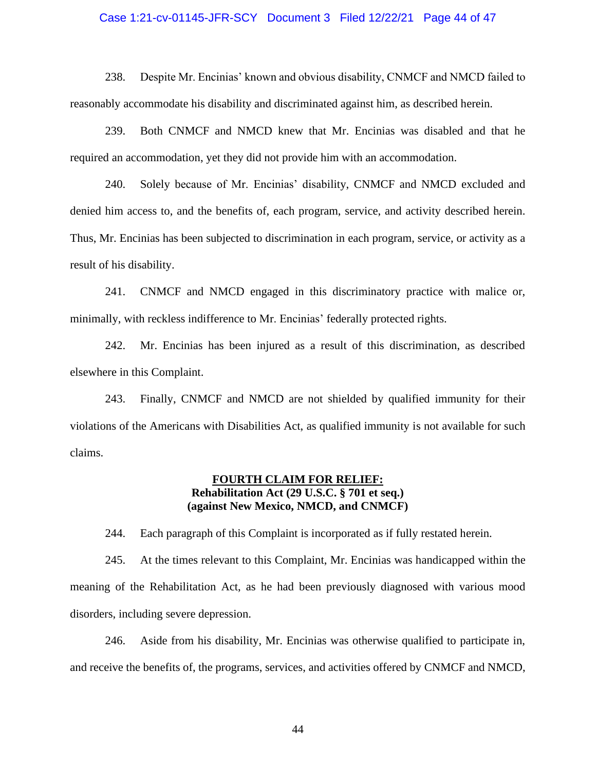### Case 1:21-cv-01145-JFR-SCY Document 3 Filed 12/22/21 Page 44 of 47

238. Despite Mr. Encinias' known and obvious disability, CNMCF and NMCD failed to reasonably accommodate his disability and discriminated against him, as described herein.

239. Both CNMCF and NMCD knew that Mr. Encinias was disabled and that he required an accommodation, yet they did not provide him with an accommodation.

240. Solely because of Mr. Encinias' disability, CNMCF and NMCD excluded and denied him access to, and the benefits of, each program, service, and activity described herein. Thus, Mr. Encinias has been subjected to discrimination in each program, service, or activity as a result of his disability.

241. CNMCF and NMCD engaged in this discriminatory practice with malice or, minimally, with reckless indifference to Mr. Encinias' federally protected rights.

242. Mr. Encinias has been injured as a result of this discrimination, as described elsewhere in this Complaint.

243. Finally, CNMCF and NMCD are not shielded by qualified immunity for their violations of the Americans with Disabilities Act, as qualified immunity is not available for such claims.

## **FOURTH CLAIM FOR RELIEF: Rehabilitation Act (29 U.S.C. § 701 et seq.) (against New Mexico, NMCD, and CNMCF)**

244. Each paragraph of this Complaint is incorporated as if fully restated herein.

245. At the times relevant to this Complaint, Mr. Encinias was handicapped within the meaning of the Rehabilitation Act, as he had been previously diagnosed with various mood disorders, including severe depression.

246. Aside from his disability, Mr. Encinias was otherwise qualified to participate in, and receive the benefits of, the programs, services, and activities offered by CNMCF and NMCD,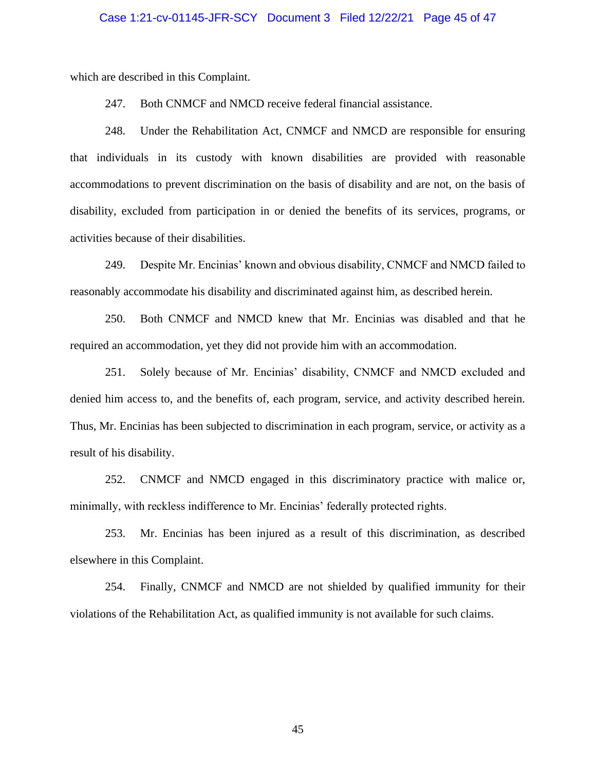#### Case 1:21-cv-01145-JFR-SCY Document 3 Filed 12/22/21 Page 45 of 47

which are described in this Complaint.

247. Both CNMCF and NMCD receive federal financial assistance.

248. Under the Rehabilitation Act, CNMCF and NMCD are responsible for ensuring that individuals in its custody with known disabilities are provided with reasonable accommodations to prevent discrimination on the basis of disability and are not, on the basis of disability, excluded from participation in or denied the benefits of its services, programs, or activities because of their disabilities.

249. Despite Mr. Encinias' known and obvious disability, CNMCF and NMCD failed to reasonably accommodate his disability and discriminated against him, as described herein.

250. Both CNMCF and NMCD knew that Mr. Encinias was disabled and that he required an accommodation, yet they did not provide him with an accommodation.

251. Solely because of Mr. Encinias' disability, CNMCF and NMCD excluded and denied him access to, and the benefits of, each program, service, and activity described herein. Thus, Mr. Encinias has been subjected to discrimination in each program, service, or activity as a result of his disability.

252. CNMCF and NMCD engaged in this discriminatory practice with malice or, minimally, with reckless indifference to Mr. Encinias' federally protected rights.

253. Mr. Encinias has been injured as a result of this discrimination, as described elsewhere in this Complaint.

254. Finally, CNMCF and NMCD are not shielded by qualified immunity for their violations of the Rehabilitation Act, as qualified immunity is not available for such claims.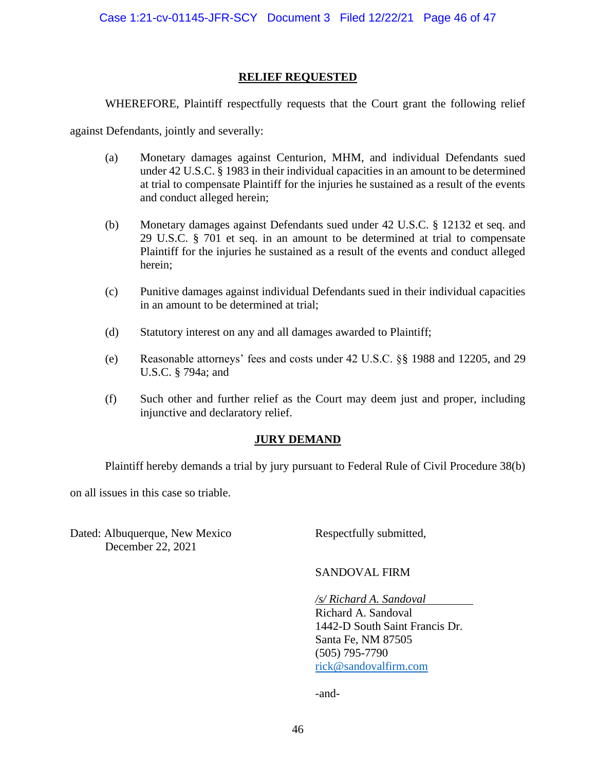### **RELIEF REQUESTED**

WHEREFORE, Plaintiff respectfully requests that the Court grant the following relief

against Defendants, jointly and severally:

- (a) Monetary damages against Centurion, MHM, and individual Defendants sued under 42 U.S.C. § 1983 in their individual capacities in an amount to be determined at trial to compensate Plaintiff for the injuries he sustained as a result of the events and conduct alleged herein;
- (b) Monetary damages against Defendants sued under 42 U.S.C. § 12132 et seq. and 29 U.S.C. § 701 et seq. in an amount to be determined at trial to compensate Plaintiff for the injuries he sustained as a result of the events and conduct alleged herein;
- (c) Punitive damages against individual Defendants sued in their individual capacities in an amount to be determined at trial;
- (d) Statutory interest on any and all damages awarded to Plaintiff;
- (e) Reasonable attorneys' fees and costs under 42 U.S.C. §§ 1988 and 12205, and 29 U.S.C. § 794a; and
- (f) Such other and further relief as the Court may deem just and proper, including injunctive and declaratory relief.

### **JURY DEMAND**

Plaintiff hereby demands a trial by jury pursuant to Federal Rule of Civil Procedure 38(b)

on all issues in this case so triable.

Dated: Albuquerque, New Mexico Respectfully submitted, December 22, 2021

SANDOVAL FIRM

*/s/ Richard A. Sandoval* .

Richard A. Sandoval 1442-D South Saint Francis Dr. Santa Fe, NM 87505 (505) 795-7790 [rick@sandovalfirm.com](mailto:rick@sandovalfirm.com)

-and-